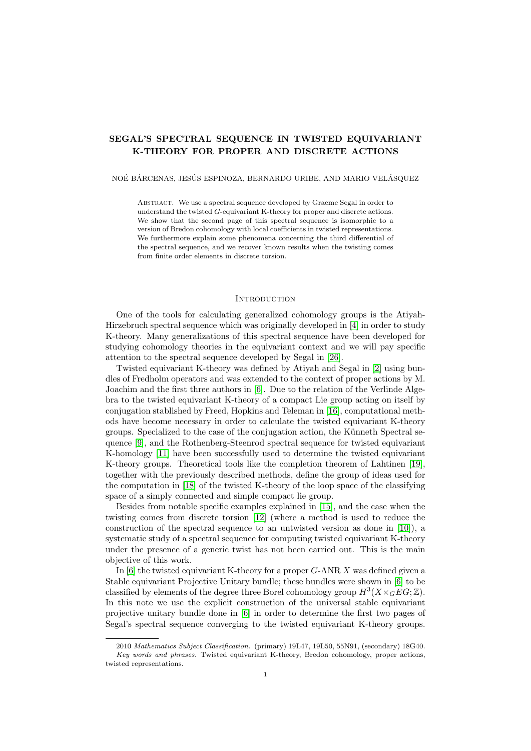# SEGAL'S SPECTRAL SEQUENCE IN TWISTED EQUIVARIANT K-THEORY FOR PROPER AND DISCRETE ACTIONS

#### NOÉ BÁRCENAS, JESÚS ESPINOZA, BERNARDO URIBE, AND MARIO VELÁSQUEZ

Abstract. We use a spectral sequence developed by Graeme Segal in order to understand the twisted G-equivariant K-theory for proper and discrete actions. We show that the second page of this spectral sequence is isomorphic to a version of Bredon cohomology with local coefficients in twisted representations. We furthermore explain some phenomena concerning the third differential of the spectral sequence, and we recover known results when the twisting comes from finite order elements in discrete torsion.

## <span id="page-0-0"></span>**INTRODUCTION**

One of the tools for calculating generalized cohomology groups is the Atiyah-Hirzebruch spectral sequence which was originally developed in [\[4\]](#page-23-0) in order to study K-theory. Many generalizations of this spectral sequence have been developed for studying cohomology theories in the equivariant context and we will pay specific attention to the spectral sequence developed by Segal in [\[26\]](#page-24-0).

Twisted equivariant K-theory was defined by Atiyah and Segal in [\[2\]](#page-23-1) using bundles of Fredholm operators and was extended to the context of proper actions by M. Joachim and the first three authors in [\[6\]](#page-23-2). Due to the relation of the Verlinde Algebra to the twisted equivariant K-theory of a compact Lie group acting on itself by conjugation stablished by Freed, Hopkins and Teleman in [\[16\]](#page-24-1), computational methods have become necessary in order to calculate the twisted equivariant K-theory groups. Specialized to the case of the conjugation action, the Künneth Spectral sequence [\[9\]](#page-23-3), and the Rothenberg-Steenrod spectral sequence for twisted equivariant K-homology [\[11\]](#page-23-4) have been successfully used to determine the twisted equivariant K-theory groups. Theoretical tools like the completion theorem of Lahtinen [\[19\]](#page-24-2), together with the previously described methods, define the group of ideas used for the computation in [\[18\]](#page-24-3) of the twisted K-theory of the loop space of the classifying space of a simply connected and simple compact lie group.

Besides from notable specific examples explained in [\[15\]](#page-23-5), and the case when the twisting comes from discrete torsion [\[12\]](#page-23-6) (where a method is used to reduce the construction of the spectral sequence to an untwisted version as done in [\[10\]](#page-23-7)), a systematic study of a spectral sequence for computing twisted equivariant K-theory under the presence of a generic twist has not been carried out. This is the main objective of this work.

In  $[6]$  the twisted equivariant K-theory for a proper  $G$ -ANR X was defined given a Stable equivariant Projective Unitary bundle; these bundles were shown in [\[6\]](#page-23-2) to be classified by elements of the degree three Borel cohomology group  $H^3(X\times_G EG;\mathbb{Z})$ . In this note we use the explicit construction of the universal stable equivariant projective unitary bundle done in [\[6\]](#page-23-2) in order to determine the first two pages of Segal's spectral sequence converging to the twisted equivariant K-theory groups.

<sup>2010</sup> Mathematics Subject Classification. (primary) 19L47, 19L50, 55N91, (secondary) 18G40. Key words and phrases. Twisted equivariant K-theory, Bredon cohomology, proper actions, twisted representations.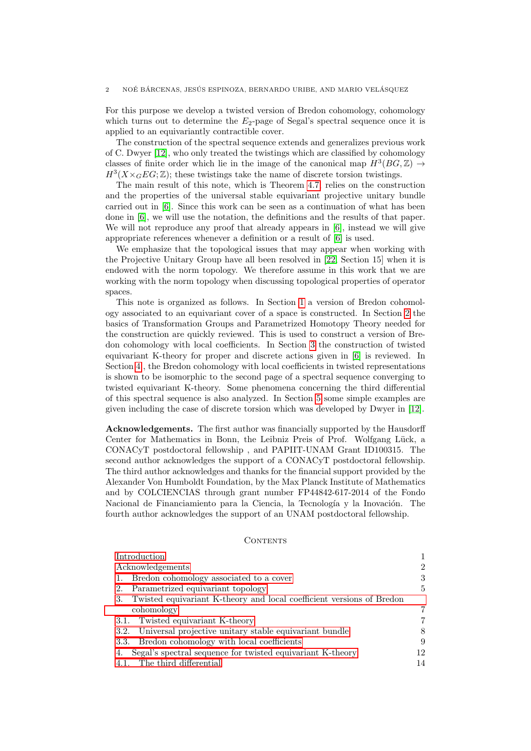For this purpose we develop a twisted version of Bredon cohomology, cohomology which turns out to determine the  $E_2$ -page of Segal's spectral sequence once it is applied to an equivariantly contractible cover.

The construction of the spectral sequence extends and generalizes previous work of C. Dwyer [\[12\]](#page-23-6), who only treated the twistings which are classified by cohomology classes of finite order which lie in the image of the canonical map  $H^3(BG, \mathbb{Z}) \rightarrow$  $H^3(X\times_G EG;\mathbb{Z})$ ; these twistings take the name of discrete torsion twistings.

The main result of this note, which is Theorem [4.7,](#page-14-0) relies on the construction and the properties of the universal stable equivariant projective unitary bundle carried out in [\[6\]](#page-23-2). Since this work can be seen as a continuation of what has been done in [\[6\]](#page-23-2), we will use the notation, the definitions and the results of that paper. We will not reproduce any proof that already appears in [\[6\]](#page-23-2), instead we will give appropriate references whenever a definition or a result of [\[6\]](#page-23-2) is used.

We emphasize that the topological issues that may appear when working with the Projective Unitary Group have all been resolved in [\[22,](#page-24-4) Section 15] when it is endowed with the norm topology. We therefore assume in this work that we are working with the norm topology when discussing topological properties of operator spaces.

This note is organized as follows. In Section [1](#page-2-0) a version of Bredon cohomology associated to an equivariant cover of a space is constructed. In Section [2](#page-4-0) the basics of Transformation Groups and Parametrized Homotopy Theory needed for the construction are quickly reviewed. This is used to construct a version of Bredon cohomology with local coefficients. In Section [3](#page-6-0) the construction of twisted equivariant K-theory for proper and discrete actions given in [\[6\]](#page-23-2) is reviewed. In Section [4](#page-11-0) , the Bredon cohomology with local coefficients in twisted representations is shown to be isomorphic to the second page of a spectral sequence converging to twisted equivariant K-theory. Some phenomena concerning the third differential of this spectral sequence is also analyzed. In Section [5](#page-16-0) some simple examples are given including the case of discrete torsion which was developed by Dwyer in [\[12\]](#page-23-6).

<span id="page-1-0"></span>Acknowledgements. The first author was financially supported by the Hausdorff Center for Mathematics in Bonn, the Leibniz Preis of Prof. Wolfgang Lück, a CONACyT postdoctoral fellowship , and PAPIIT-UNAM Grant ID100315. The second author acknowledges the support of a CONACyT postdoctoral fellowship. The third author acknowledges and thanks for the financial support provided by the Alexander Von Humboldt Foundation, by the Max Planck Institute of Mathematics and by COLCIENCIAS through grant number FP44842-617-2014 of the Fondo Nacional de Financiamiento para la Ciencia, la Tecnología y la Inovación. The fourth author acknowledges the support of an UNAM postdoctoral fellowship.

### CONTENTS

| Introduction                                                             |                |
|--------------------------------------------------------------------------|----------------|
| Acknowledgements                                                         | $\overline{2}$ |
| 1. Bredon cohomology associated to a cover                               | 3              |
| 2. Parametrized equivariant topology                                     | 5.             |
| 3. Twisted equivariant K-theory and local coefficient versions of Bredon |                |
| cohomology                                                               | 7              |
| 3.1. Twisted equivariant K-theory                                        | 7              |
| 3.2. Universal projective unitary stable equivariant bundle              |                |
| 3.3. Bredon cohomology with local coefficients                           | 9              |
| 4. Segal's spectral sequence for twisted equivariant K-theory            | 12             |
| 4.1. The third differential                                              | 14             |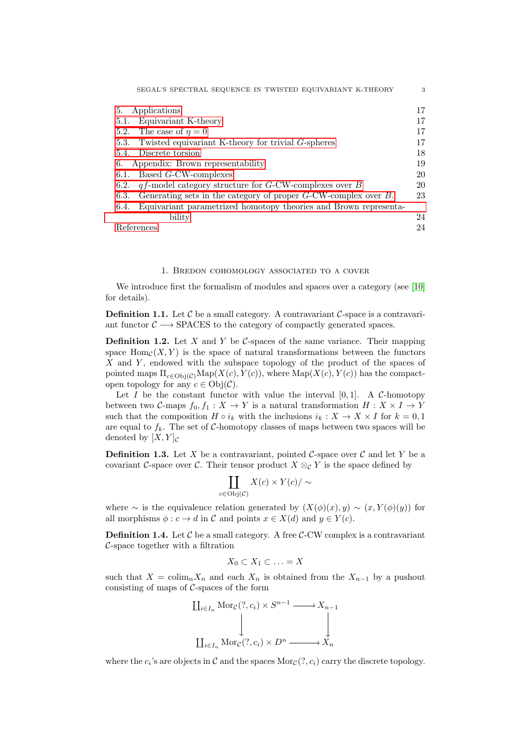| SEGAL'S SPECTRAL SEQUENCE IN TWISTED EQUIVARIANT K-THEORY                    | 3  |
|------------------------------------------------------------------------------|----|
| Applications<br>5.                                                           | 17 |
| Equivariant K-theory<br>5.1.                                                 | 17 |
| The case of $\eta = 0$<br>5.2.                                               | 17 |
| Twisted equivariant K-theory for trivial G-spheres<br>5.3.                   | 17 |
| Discrete torsion<br>5.4.                                                     | 18 |
| Appendix: Brown representability<br>6.                                       | 19 |
| Based G-CW-complexes<br>6.1.                                                 | 20 |
| $qf$ -model category structure for G-CW-complexes over B<br>6.2.             | 20 |
| Generating sets in the category of proper $G$ -CW-complex over $B$ .<br>6.3. | 23 |
| Equivariant parametrized homotopy theories and Brown representa-<br>6.4.     |    |
| bility                                                                       | 24 |
| References                                                                   | 24 |

### 1. Bredon cohomology associated to a cover

<span id="page-2-0"></span>We introduce first the formalism of modules and spaces over a category (see [\[10\]](#page-23-7) for details).

**Definition 1.1.** Let  $\mathcal{C}$  be a small category. A contravariant  $\mathcal{C}$ -space is a contravariant functor  $C \longrightarrow$  SPACES to the category of compactly generated spaces.

**Definition 1.2.** Let X and Y be C-spaces of the same variance. Their mapping space  $\text{Hom}_{\mathcal{C}}(X, Y)$  is the space of natural transformations between the functors  $X$  and  $Y$ , endowed with the subspace topology of the product of the spaces of pointed maps  $\Pi_{c \in \text{Obj}(C)} \text{Map}(X(c), Y(c))$ , where  $\text{Map}(X(c), Y(c))$  has the compactopen topology for any  $c \in \text{Obj}(\mathcal{C})$ .

Let I be the constant functor with value the interval  $[0, 1]$ . A C-homotopy between two C-maps  $f_0, f_1 : X \to Y$  is a natural transformation  $H : X \times I \to Y$ such that the composition  $H \circ i_k$  with the inclusions  $i_k : X \to X \times I$  for  $k = 0, 1$ are equal to  $f_k$ . The set of C-homotopy classes of maps between two spaces will be denoted by  $[X, Y]_{\mathcal{C}}$ 

**Definition 1.3.** Let X be a contravariant, pointed C-space over C and let Y be a covariant C-space over C. Their tensor product  $X \otimes_{\mathcal{C}} Y$  is the space defined by

$$
\coprod_{c \in \text{Obj}(\mathcal{C})} X(c) \times Y(c) / \sim
$$

where ∼ is the equivalence relation generated by  $(X(\phi)(x), y) \sim (x, Y(\phi)(y))$  for all morphisms  $\phi : c \to d$  in C and points  $x \in X(d)$  and  $y \in Y(c)$ .

**Definition 1.4.** Let  $\mathcal{C}$  be a small category. A free  $\mathcal{C}\text{-CW}$  complex is a contravariant C-space together with a filtration

$$
X_0 \subset X_1 \subset \ldots = X
$$

such that  $X = \text{colim}_n X_n$  and each  $X_n$  is obtained from the  $X_{n-1}$  by a pushout consisting of maps of  $C$ -spaces of the form

$$
\coprod_{i \in I_n} \text{Mor}_{\mathcal{C}}(?, c_i) \times S^{n-1} \longrightarrow X_{n-1}
$$
\n
$$
\downarrow \qquad \qquad \downarrow
$$
\n
$$
\coprod_{i \in I_n} \text{Mor}_{\mathcal{C}}(?, c_i) \times D^n \longrightarrow X_n
$$

where the  $c_i$ 's are objects in  $\mathcal C$  and the spaces  $\text{Mor}_{\mathcal C}(?, c_i)$  carry the discrete topology.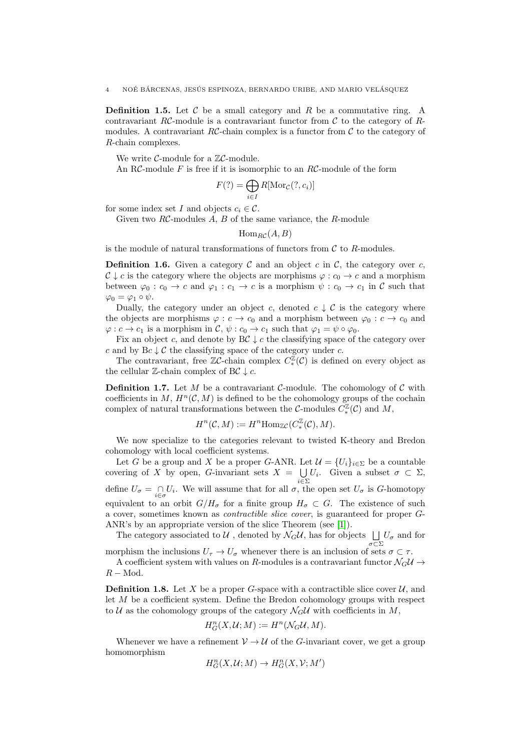**Definition 1.5.** Let  $\mathcal{C}$  be a small category and  $R$  be a commutative ring. A contravariant RC-module is a contravariant functor from  $\mathcal C$  to the category of Rmodules. A contravariant  $RC$ -chain complex is a functor from  $C$  to the category of R-chain complexes.

We write  $C$ -module for a  $\mathbb{Z}C$ -module.

An RC-module  $F$  is free if it is isomorphic to an  $R\mathcal{C}$ -module of the form

$$
F(?) = \bigoplus_{i \in I} R[\mathrm{Mor}_{\mathcal{C}}(?, c_i)]
$$

for some index set I and objects  $c_i \in \mathcal{C}$ .

Given two  $RC$ -modules  $A, B$  of the same variance, the  $R$ -module

$$
\mathrm{Hom}_{RC}(A,B)
$$

is the module of natural transformations of functors from  $\mathcal C$  to  $R$ -modules.

**Definition 1.6.** Given a category  $\mathcal{C}$  and an object c in  $\mathcal{C}$ , the category over c,  $C \downarrow c$  is the category where the objects are morphisms  $\varphi : c_0 \to c$  and a morphism between  $\varphi_0 : c_0 \to c$  and  $\varphi_1 : c_1 \to c$  is a morphism  $\psi : c_0 \to c_1$  in C such that  $\varphi_0 = \varphi_1 \circ \psi.$ 

Dually, the category under an object c, denoted  $c \downarrow c$  is the category where the objects are morphisms  $\varphi : c \to c_0$  and a morphism between  $\varphi_0 : c \to c_0$  and  $\varphi: c \to c_1$  is a morphism in  $\mathcal{C}, \psi: c_0 \to c_1$  such that  $\varphi_1 = \psi \circ \varphi_0$ .

Fix an object c, and denote by  $B\mathcal{C} \downarrow c$  the classifying space of the category over c and by  $Bc \downarrow c$  the classifying space of the category under c.

The contravariant, free  $\mathbb{Z}C$ -chain complex  $C_*^{\mathbb{Z}}(c)$  is defined on every object as the cellular  $\mathbb{Z}$ -chain complex of BC  $\downarrow$  c.

**Definition 1.7.** Let M be a contravariant C-module. The cohomology of C with coefficients in M,  $H^n(\mathcal{C}, M)$  is defined to be the cohomology groups of the cochain complex of natural transformations between the C-modules  $C_*^{\mathbb{Z}}(\mathcal{C})$  and M,

$$
H^n({\mathcal C},M):=H^n{\rm Hom}_{{\mathbb Z} C}(C_*^{\mathbb Z}({\mathcal C}),M).
$$

We now specialize to the categories relevant to twisted K-theory and Bredon cohomology with local coefficient systems.

Let G be a group and X be a proper G-ANR. Let  $\mathcal{U} = \{U_i\}_{i \in \Sigma}$  be a countable covering of X by open, G-invariant sets  $X = \bigcup$  $\bigcup_{i\in\Sigma} U_i$ . Given a subset  $σ ⊂ Σ$ , define  $U_{\sigma} = \bigcap_{i \in \sigma} U_i$ . We will assume that for all  $\sigma$ , the open set  $U_{\sigma}$  is G-homotopy equivalent to an orbit  $G/H_{\sigma}$  for a finite group  $H_{\sigma} \subset G$ . The existence of such a cover, sometimes known as contractible slice cover, is guaranteed for proper G-ANR's by an appropriate version of the slice Theorem (see [\[1\]](#page-23-10)).

The category associated to  $\mathcal U$ , denoted by  $\mathcal N_G\mathcal U$ , has for objects  $\bigsqcup_{\sigma\subset\Sigma}U_\sigma$  and for morphism the inclusions  $U_{\tau} \to U_{\sigma}$  whenever there is an inclusion of sets  $\sigma \subset \tau$ .

A coefficient system with values on R-modules is a contravariant functor  $\mathcal{N}_G\mathcal{U} \rightarrow$  $R - Mod.$ 

**Definition 1.8.** Let X be a proper G-space with a contractible slice cover  $\mathcal{U}$ , and let M be a coefficient system. Define the Bredon cohomology groups with respect to U as the cohomology groups of the category  $\mathcal{N}_G U$  with coefficients in M,

$$
H_G^n(X, \mathcal{U}; M) := H^n(\mathcal{N}_G \mathcal{U}, M).
$$

Whenever we have a refinement  $V \rightarrow U$  of the G-invariant cover, we get a group homomorphism

$$
H^n_G(X,\mathcal{U};M)\to H^n_G(X,\mathcal{V};M')
$$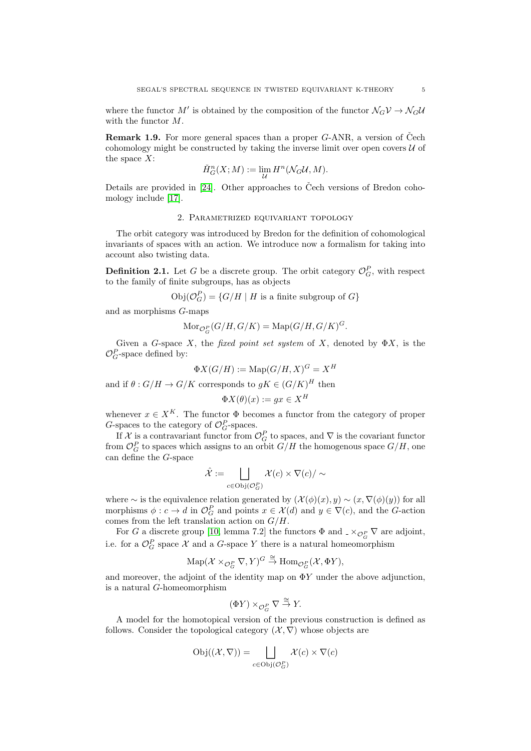where the functor  $M'$  is obtained by the composition of the functor  $\mathcal{N}_G V \to \mathcal{N}_G U$ with the functor M.

**Remark 1.9.** For more general spaces than a proper  $G$ -ANR, a version of Čech cohomology might be constructed by taking the inverse limit over open covers  $U$  of the space  $X$ :

$$
\check{H}^{n}_{G}(X;M) := \lim_{\mathcal{U}} H^{n}(\mathcal{N}_{G}\mathcal{U},M).
$$

Details are provided in  $[24]$ . Other approaches to Čech versions of Bredon cohomology include [\[17\]](#page-24-6).

## 2. Parametrized equivariant topology

<span id="page-4-0"></span>The orbit category was introduced by Bredon for the definition of cohomological invariants of spaces with an action. We introduce now a formalism for taking into account also twisting data.

**Definition 2.1.** Let G be a discrete group. The orbit category  $\mathcal{O}_G^P$ , with respect to the family of finite subgroups, has as objects

 $\mathrm{Obj}(\mathcal{O}_G^P) = \{G/H \mid H \text{ is a finite subgroup of } G\}$ 

and as morphisms G-maps

$$
\text{Mor}_{\mathcal{O}_G^P}(G/H, G/K) = \text{Map}(G/H, G/K)^G.
$$

Given a G-space X, the fixed point set system of X, denoted by  $\Phi X$ , is the  $\mathcal{O}_G^P$ -space defined by:

$$
\Phi X(G/H) := \text{Map}(G/H, X)^G = X^H
$$

and if  $\theta: G/H \to G/K$  corresponds to  $gK \in (G/K)^H$  then

$$
\Phi X(\theta)(x) := gx \in X^H
$$

whenever  $x \in X^K$ . The functor  $\Phi$  becomes a functor from the category of proper G-spaces to the category of  $\mathcal{O}_G^P$ -spaces.

If X is a contravariant functor from  $\mathcal{O}_G^P$  to spaces, and  $\nabla$  is the covariant functor from  $\mathcal{O}_G^P$  to spaces which assigns to an orbit  $G/H$  the homogenous space  $G/H$ , one can define the G-space

$$
\hat{\mathcal{X}} := \bigsqcup_{c \in \mathrm{Obj}(\mathcal{O}_G^P)} \mathcal{X}(c) \times \nabla(c) / \sim
$$

where  $\sim$  is the equivalence relation generated by  $(\mathcal{X}(\phi)(x), y) \sim (x, \nabla(\phi)(y))$  for all morphisms  $\phi: c \to d$  in  $\mathcal{O}_G^P$  and points  $x \in \mathcal{X}(d)$  and  $y \in \nabla(c)$ , and the G-action comes from the left translation action on  $G/H$ .

For G a discrete group [\[10,](#page-23-7) lemma 7.2] the functors  $\Phi$  and  $\Delta \otimes_{\mathcal{O}_G^P} \nabla$  are adjoint, i.e. for a  $\mathcal{O}_G^P$  space X and a G-space Y there is a natural homeomorphism

$$
\mathrm{Map}(\mathcal{X} \times_{\mathcal{O}_G^P} \nabla, Y)^G \stackrel{\cong}{\to} \mathrm{Hom}_{\mathcal{O}_G^P}(\mathcal{X}, \Phi Y),
$$

and moreover, the adjoint of the identity map on  $\Phi Y$  under the above adjunction, is a natural G-homeomorphism

$$
(\Phi Y) \times_{\mathcal{O}_G^P} \nabla \stackrel{\cong}{\to} Y.
$$

A model for the homotopical version of the previous construction is defined as follows. Consider the topological category  $(\mathcal{X}, \nabla)$  whose objects are

$$
Obj((\mathcal{X}, \nabla)) = \bigsqcup_{c \in Obj(\mathcal{O}_G^P)} \mathcal{X}(c) \times \nabla(c)
$$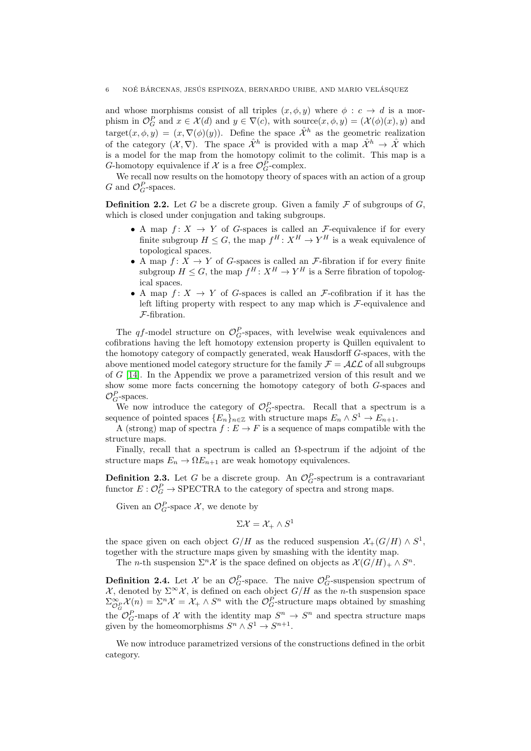and whose morphisms consist of all triples  $(x, \phi, y)$  where  $\phi : c \rightarrow d$  is a morphism in  $\mathcal{O}_G^P$  and  $x \in \mathcal{X}(d)$  and  $y \in \nabla(c)$ , with source $(x, \phi, y) = (\mathcal{X}(\phi)(x), y)$  and target $(x, \phi, y) = (x, \nabla(\phi)(y))$ . Define the space  $\hat{\mathcal{X}}^h$  as the geometric realization of the category  $(\mathcal{X}, \nabla)$ . The space  $\hat{\mathcal{X}}^h$  is provided with a map  $\hat{\mathcal{X}}^h \to \hat{\mathcal{X}}$  which is a model for the map from the homotopy colimit to the colimit. This map is a G-homotopy equivalence if  $\mathcal X$  is a free  $\mathcal O_G^P$ -complex.

We recall now results on the homotopy theory of spaces with an action of a group G and  $\mathcal{O}_G^P$ -spaces.

**Definition 2.2.** Let G be a discrete group. Given a family  $\mathcal F$  of subgroups of G, which is closed under conjugation and taking subgroups.

- A map  $f: X \to Y$  of G-spaces is called an F-equivalence if for every finite subgroup  $H \leq G$ , the map  $f^H: X^H \to Y^H$  is a weak equivalence of topological spaces.
- A map  $f: X \to Y$  of G-spaces is called an F-fibration if for every finite subgroup  $H \leq G$ , the map  $f^H: X^H \to Y^H$  is a Serre fibration of topological spaces.
- A map  $f: X \to Y$  of G-spaces is called an F-cofibration if it has the left lifting property with respect to any map which is  $\mathcal{F}\text{-equivalence}$  and F-fibration.

The qf-model structure on  $\mathcal{O}_G^P$ -spaces, with levelwise weak equivalences and cofibrations having the left homotopy extension property is Quillen equivalent to the homotopy category of compactly generated, weak Hausdorff G-spaces, with the above mentioned model category structure for the family  $\mathcal{F} = \mathcal{ALL}$  of all subgroups of  $G$  [\[14\]](#page-23-11). In the Appendix we prove a parametrized version of this result and we show some more facts concerning the homotopy category of both G-spaces and  $\mathcal{O}_G^P$ -spaces.

We now introduce the category of  $\mathcal{O}_G^P$ -spectra. Recall that a spectrum is a sequence of pointed spaces  ${E_n}_{n \in \mathbb{Z}}$  with structure maps  $E_n \wedge S^1 \to E_{n+1}$ .

A (strong) map of spectra  $f : E \to F$  is a sequence of maps compatible with the structure maps.

Finally, recall that a spectrum is called an  $\Omega$ -spectrum if the adjoint of the structure maps  $E_n \to \Omega E_{n+1}$  are weak homotopy equivalences.

**Definition 2.3.** Let G be a discrete group. An  $\mathcal{O}_G^P$ -spectrum is a contravariant functor  $E: \mathcal{O}_G^P \to \text{SPECTRA}$  to the category of spectra and strong maps.

Given an  $\mathcal{O}_G^P$ -space X, we denote by

$$
\Sigma \mathcal{X} = \mathcal{X}_+ \wedge S^1
$$

the space given on each object  $G/H$  as the reduced suspension  $\mathcal{X}_+(G/H) \wedge S^1$ , together with the structure maps given by smashing with the identity map.

The *n*-th suspension  $\Sigma^n$  X is the space defined on objects as  $\mathcal{X}(G/H)_+ \wedge S^n$ .

**Definition 2.4.** Let  $\mathcal{X}$  be an  $\mathcal{O}_G^P$ -space. The naive  $\mathcal{O}_G^P$ -suspension spectrum of  $\mathcal{X}$ , denoted by  $\Sigma^{\infty}\mathcal{X}$ , is defined on each object  $G/H$  as the *n*-th suspension space  $\Sigma^{\infty}_{\mathcal{O}_G^P} \mathcal{X}(n) = \Sigma^n \mathcal{X} = \mathcal{X}_+ \wedge S^n$  with the  $\mathcal{O}_G^P$ -structure maps obtained by smashing the  $\mathcal{O}_G^P$ -maps of X with the identity map  $S^n \to S^n$  and spectra structure maps given by the homeomorphisms  $S^n \wedge S^1 \to S^{n+1}$ .

We now introduce parametrized versions of the constructions defined in the orbit category.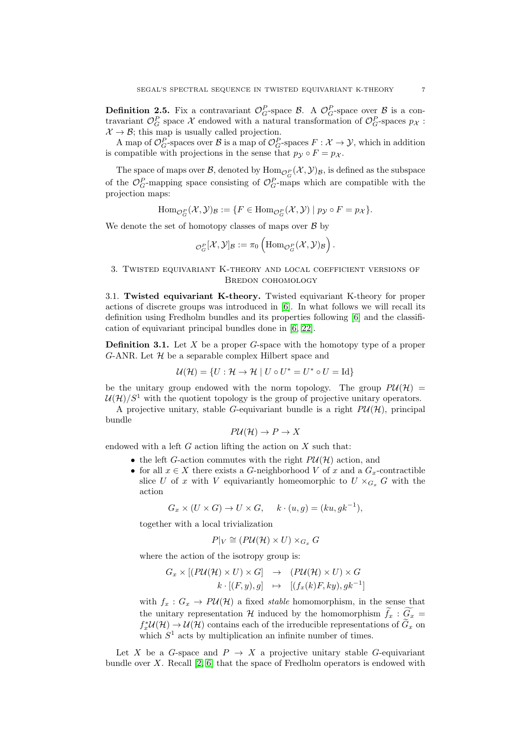**Definition 2.5.** Fix a contravariant  $\mathcal{O}_G^P$ -space  $\mathcal{B}$ . A  $\mathcal{O}_G^P$ -space over  $\mathcal{B}$  is a contravariant  $\mathcal{O}_G^P$  space X endowed with a natural transformation of  $\mathcal{O}_G^P$ -spaces  $p_{\mathcal{X}}$ :  $\mathcal{X} \to \mathcal{B}$ ; this map is usually called projection.

A map of  $\mathcal{O}_G^P$ -spaces over  $\mathcal B$  is a map of  $\mathcal{O}_G^P$ -spaces  $F: \mathcal{X} \to \mathcal{Y}$ , which in addition is compatible with projections in the sense that  $p_{\mathcal{V}} \circ F = p_{\mathcal{X}}$ .

The space of maps over  $\mathcal{B}$ , denoted by  $\text{Hom}_{\mathcal{O}_G^P}(\mathcal{X}, \mathcal{Y})_{\mathcal{B}}$ , is defined as the subspace of the  $\mathcal{O}_G^P$ -mapping space consisting of  $\mathcal{O}_G^P$ -maps which are compatible with the projection maps:

 $\text{Hom}_{\mathcal{O}_G^P}(\mathcal{X}, \mathcal{Y})_B := \{F \in \text{Hom}_{\mathcal{O}_G^P}(\mathcal{X}, \mathcal{Y}) \mid p_{\mathcal{Y}} \circ F = p_{\mathcal{X}}\}.$ 

We denote the set of homotopy classes of maps over  $\beta$  by

$$
{}_{\mathcal{O}_G^P}[\mathcal{X},\mathcal{Y}]_\mathcal{B} := \pi_0 \left( {\rm Hom}_ {\mathcal{O}_G^P}(\mathcal{X}, \mathcal{Y})_ {\mathcal{B}} \right).
$$

## <span id="page-6-0"></span>3. Twisted equivariant K-theory and local coefficient versions of BREDON COHOMOLOGY

<span id="page-6-1"></span>3.1. Twisted equivariant K-theory. Twisted equivariant K-theory for proper actions of discrete groups was introduced in [\[6\]](#page-23-2). In what follows we will recall its definition using Fredholm bundles and its properties following [\[6\]](#page-23-2) and the classification of equivariant principal bundles done in [\[6,](#page-23-2) [22\]](#page-24-4).

<span id="page-6-2"></span>**Definition 3.1.** Let  $X$  be a proper  $G$ -space with the homotopy type of a proper G-ANR. Let  $H$  be a separable complex Hilbert space and

$$
\mathcal{U}(\mathcal{H}) = \{ U : \mathcal{H} \to \mathcal{H} \mid U \circ U^* = U^* \circ U = \text{Id} \}
$$

be the unitary group endowed with the norm topology. The group  $P\mathcal{U}(\mathcal{H}) =$  $\mathcal{U}(\mathcal{H})/S^1$  with the quotient topology is the group of projective unitary operators.

A projective unitary, stable G-equivariant bundle is a right  $P\mathcal{U}(\mathcal{H})$ , principal bundle

$$
P\mathcal{U}(\mathcal{H}) \to P \to X
$$

endowed with a left  $G$  action lifting the action on  $X$  such that:

- the left G-action commutes with the right  $P\mathcal{U}(\mathcal{H})$  action, and
- for all  $x \in X$  there exists a G-neighborhood V of x and a  $G_x$ -contractible slice U of x with V equivariantly homeomorphic to  $U \times_{G_x} G$  with the action

$$
G_x \times (U \times G) \to U \times G, \quad k \cdot (u, g) = (ku, gk^{-1}),
$$

together with a local trivialization

$$
P|_V \cong (P\mathcal{U}(\mathcal{H}) \times U) \times_{G_x} G
$$

where the action of the isotropy group is:

$$
G_x \times [(P\mathcal{U}(\mathcal{H}) \times U) \times G] \rightarrow (P\mathcal{U}(\mathcal{H}) \times U) \times G
$$
  

$$
k \cdot [(F, y), g] \rightarrow [(f_x(k)F, ky), gk^{-1}]
$$

with  $f_x: G_x \to PU(H)$  a fixed stable homomorphism, in the sense that the unitary representation H induced by the homomorphism  $f_x : G_x =$  $f_x^* \mathcal{U}(\mathcal{H}) \to \mathcal{U}(\mathcal{H})$  contains each of the irreducible representations of  $\tilde{G}_x$  on which  $S<sup>1</sup>$  acts by multiplication an infinite number of times.

Let X be a G-space and  $P \rightarrow X$  a projective unitary stable G-equivariant bundle over X. Recall  $[2, 6]$  $[2, 6]$  that the space of Fredholm operators is endowed with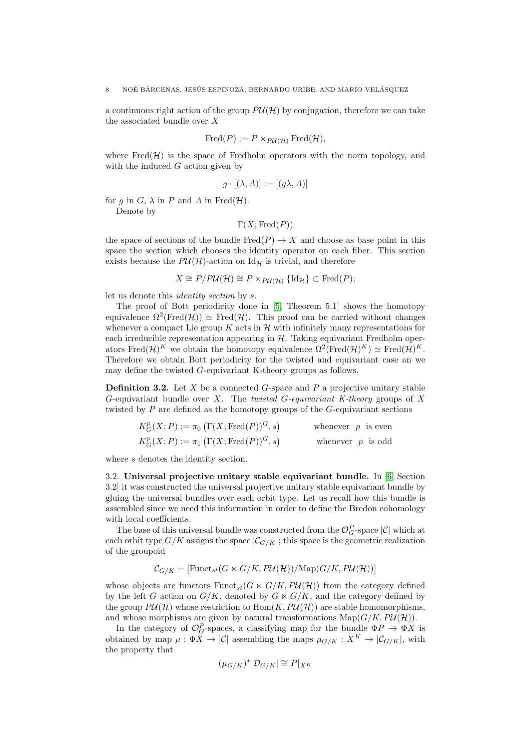a continuous right action of the group  $P\mathcal{U}(\mathcal{H})$  by conjugation, therefore we can take the associated bundle over X

$$
Fred(P) := P \times_{P\mathcal{U}(\mathcal{H})} Fred(\mathcal{H}),
$$

where  $Fred(\mathcal{H})$  is the space of Fredholm operators with the norm topology, and with the induced  $G$  action given by

$$
g \cdot [(\lambda, A)] := [(g\lambda, A)]
$$

for q in  $G$ ,  $\lambda$  in P and A in Fred(H).

Denote by

 $\Gamma(X; \text{Fred}(P))$ 

the space of sections of the bundle  $Fred(P) \rightarrow X$  and choose as base point in this space the section which chooses the identity operator on each fiber. This section exists because the  $P\mathcal{U}(\mathcal{H})$ -action on Id<sub>H</sub> is trivial, and therefore

 $X \cong P/PU(\mathcal{H}) \cong P \times_{P U(\mathcal{H})} {\{\text{Id}_{\mathcal{H}}\}} \subset \text{Fred}(P);$ 

let us denote this identity section by s.

The proof of Bott periodicity done in [\[5,](#page-23-12) Theorem 5.1] shows the homotopy equivalence  $\Omega^2(\text{Fred}(\mathcal{H})) \simeq \text{Fred}(\mathcal{H})$ . This proof can be carried without changes whenever a compact Lie group K acts in  $\mathcal H$  with infinitely many representations for each irreducible representation appearing in  $H$ . Taking equivariant Fredholm operators Fred $(\mathcal{H})^K$  we obtain the homotopy equivalence  $\Omega^2(\text{Fred}(\mathcal{H})^K) \simeq \text{Fred}(\mathcal{H})^K$ . Therefore we obtain Bott periodicity for the twisted and equivariant case an we may define the twisted G-equivariant K-theory groups as follows.

**Definition 3.2.** Let X be a connected G-space and P a projective unitary stable  $G$ -equivariant bundle over  $X$ . The twisted  $G$ -equivariant  $K$ -theory groups of  $X$ twisted by P are defined as the homotopy groups of the G-equivariant sections

$$
K_G^p(X; P) := \pi_0 \left( \Gamma(X; \text{Fred}(P))^G, s \right) \qquad \text{whenever } p \text{ is even}
$$
  

$$
K_G^p(X; P) := \pi_1 \left( \Gamma(X; \text{Fred}(P))^G, s \right) \qquad \text{whenever } p \text{ is odd}
$$

where s denotes the identity section.

<span id="page-7-0"></span>3.2. Universal projective unitary stable equivariant bundle. In [\[6,](#page-23-2) Section 3.2] it was constructed the universal projective unitary stable equivariant bundle by gluing the universal bundles over each orbit type. Let us recall how this bundle is assembled since we need this information in order to define the Bredon cohomology with local coefficients.

The base of this universal bundle was constructed from the  $\mathcal{O}_G^P$ -space  $|\mathcal{C}|$  which at each orbit type  $G/K$  assigns the space  $|\mathcal{C}_{G/K}|$ ; this space is the geometric realization of the groupoid

$$
\mathcal{C}_{G/K} = [\text{Funct}_{st}(G \ltimes G/K, P \mathcal{U}(\mathcal{H})) / \text{Map}(G/K, P \mathcal{U}(\mathcal{H}))]
$$

whose objects are functors  $\text{Funct}_{st}(G \ltimes G/K, PU(\mathcal{H}))$  from the category defined by the left G action on  $G/K$ , denoted by  $G \ltimes G/K$ , and the category defined by the group  $PU(\mathcal{H})$  whose restriction to  $\text{Hom}(K, PU(\mathcal{H}))$  are stable homomorphisms, and whose morphisms are given by natural transformations  $\text{Map}(G/K, P\mathcal{U}(\mathcal{H}))$ .

In the category of  $\mathcal{O}_G^P$ -spaces, a classifying map for the bundle  $\Phi P \to \Phi X$  is obtained by map  $\mu : \Phi \overline{X} \to |\mathcal{C}|$  assembling the maps  $\mu_{G/K} : X^K \to |\mathcal{C}_{G/K}|$ , with the property that

$$
(\mu_{G/K})^*|\mathcal{D}_{G/K}| \cong P|_{X^K}
$$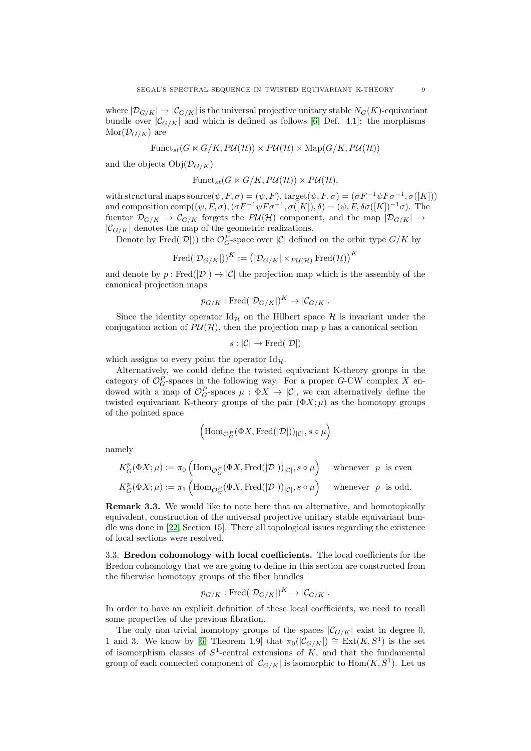where  $|\mathcal{D}_{G/K}| \to |\mathcal{C}_{G/K}|$  is the universal projective unitary stable  $N_G(K)$ -equivariant bundle over  $|\mathcal{C}_{G/K}|$  and which is defined as follows [\[6,](#page-23-2) Def. 4.1]: the morphisms  $\text{Mor}(\mathcal{D}_{G/K})$  are

$$
Funct_{st}(G \ltimes G/K, PU(\mathcal{H})) \times PU(\mathcal{H}) \times \mathrm{Map}(G/K, PU(\mathcal{H}))
$$

and the objects  $Obj(\mathcal{D}_{G/K})$ 

$$
\text{Funct}_{st}(G \ltimes G/K, P \mathcal{U}(\mathcal{H})) \times P \mathcal{U}(\mathcal{H}),
$$

with structural maps source $(\psi, F, \sigma) = (\psi, F)$ , target $(\psi, F, \sigma) = (\sigma F^{-1} \psi F \sigma^{-1}, \sigma([K]))$ and composition comp $((\psi, F, \sigma),(\sigma F^{-1}\psi F \sigma^{-1}, \sigma([K]), \delta) = (\psi, F, \delta \sigma([K])^{-1} \sigma)$ . The fucntor  $\mathcal{D}_{G/K} \to \mathcal{C}_{G/K}$  forgets the  $P\mathcal{U}(\mathcal{H})$  component, and the map  $|\mathcal{D}_{G/K}| \to$  $|\mathcal{C}_{G/K}|$  denotes the map of the geometric realizations.

Denote by Fred( $|\mathcal{D}|$ )) the  $\mathcal{O}_G^P$ -space over  $|\mathcal{C}|$  defined on the orbit type  $G/K$  by

$$
\operatorname{Fred}(\vert \mathcal{D}_{G/K} \vert))^K := \left(\vert \mathcal{D}_{G/K} \vert \times_{P{\mathcal{U}}({\mathcal{H}})} \operatorname{Fred}({\mathcal{H}})\right)^K
$$

and denote by  $p : \text{Fred}(|\mathcal{D}|) \to |\mathcal{C}|$  the projection map which is the assembly of the canonical projection maps

$$
p_{G/K}: \text{Fred}(|\mathcal{D}_{G/K}|)^K \to |\mathcal{C}_{G/K}|.
$$

Since the identity operator  $\mathrm{Id}_{\mathcal{H}}$  on the Hilbert space  $\mathcal{H}$  is invariant under the conjugation action of  $P\mathcal{U}(\mathcal{H})$ , then the projection map p has a canonical section

$$
s:|\mathcal{C}|\to \mathrm{Fred}(|\mathcal{D}|)
$$

which assigns to every point the operator  $\mathrm{Id}_{\mathcal{H}}$ .

Alternatively, we could define the twisted equivariant K-theory groups in the category of  $\mathcal{O}_G^P$ -spaces in the following way. For a proper G-CW complex X endowed with a map of  $\mathcal{O}_G^P$ -spaces  $\mu : \Phi X \to |\mathcal{C}|$ , we can alternatively define the twisted equivariant K-theory groups of the pair  $(\Phi X; \mu)$  as the homotopy groups of the pointed space

$$
\left(\mathrm{Hom}_{\mathcal{O}_G^P}(\Phi X, \mathrm{Fred}(|\mathcal{D}|))_{|\mathcal{C}|}, s \circ \mu\right)
$$

namely

$$
K_G^p(\Phi X; \mu) := \pi_0 \left( \text{Hom}_{\mathcal{O}_G^P}(\Phi X, \text{Fred}(|\mathcal{D}|))_{|\mathcal{C}|}, s \circ \mu \right) \text{ whenever } p \text{ is even}
$$
  

$$
K_G^p(\Phi X; \mu) := \pi_1 \left( \text{Hom}_{\mathcal{O}_G^P}(\Phi X, \text{Fred}(|\mathcal{D}|))_{|\mathcal{C}|}, s \circ \mu \right) \text{ whenever } p \text{ is odd.}
$$

Remark 3.3. We would like to note here that an alternative, and homotopically equivalent, construction of the universal projective unitary stable equivariant bundle was done in [\[22,](#page-24-4) Section 15]. There all topological issues regarding the existence of local sections were resolved.

<span id="page-8-0"></span>3.3. Bredon cohomology with local coefficients. The local coefficients for the Bredon cohomology that we are going to define in this section are constructed from the fiberwise homotopy groups of the fiber bundles

$$
p_{G/K}: \text{Fred}(|\mathcal{D}_{G/K}|)^K \to |\mathcal{C}_{G/K}|.
$$

In order to have an explicit definition of these local coefficients, we need to recall some properties of the previous fibration.

The only non trivial homotopy groups of the spaces  $|\mathcal{C}_{G/K}|$  exist in degree 0, 1 and 3. We know by [\[6,](#page-23-2) Theorem 1.9] that  $\pi_0(|\mathcal{C}_{G/K}|) \cong \text{Ext}(K, S^1)$  is the set of isomorphism classes of  $S^1$ -central extensions of K, and that the fundamental group of each connected component of  $|\mathcal{C}_{G/K}|$  is isomorphic to  $\text{Hom}(K, S^1)$ . Let us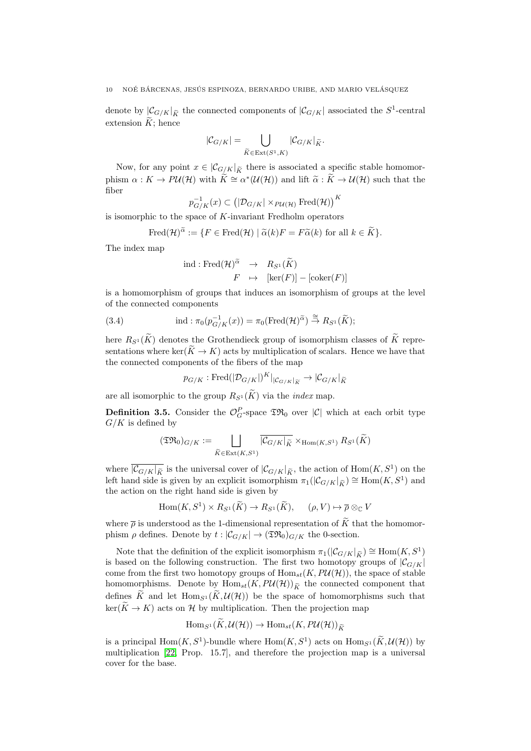denote by  $|\mathcal{C}_{G/K}|_{\widetilde{K}}$  the connected components of  $|\mathcal{C}_{G/K}|$  associated the  $S^1$ -central extension  $\widetilde{K}$ : hence

$$
|\mathcal{C}_{G/K}| = \bigcup_{\widetilde{K} \in \operatorname{Ext}(S^1,K)} |\mathcal{C}_{G/K}|_{\widetilde{K}}.
$$

Now, for any point  $x \in |C_{G/K}|_{\widetilde{K}}$  there is associated a specific stable homomorphism  $\alpha: K \to P\mathcal{U}(\mathcal{H})$  with  $\widetilde{K} \cong \alpha^*(\mathcal{U}(\mathcal{H}))$  and lift  $\widetilde{\alpha}: \widetilde{K} \to \mathcal{U}(\mathcal{H})$  such that the fiber

$$
p_{G/K}^{-1}(x) \subset (|\mathcal{D}_{G/K}| \times_{P\mathcal{U}(\mathcal{H})} \text{Fred}(\mathcal{H}))^K
$$

is isomorphic to the space of K-invariant Fredholm operators

$$
\text{Fred}(\mathcal{H})^{\widetilde{\alpha}} := \{ F \in \text{Fred}(\mathcal{H}) \mid \widetilde{\alpha}(k)F = F\widetilde{\alpha}(k) \text{ for all } k \in \widetilde{K} \}.
$$

The index map

$$
\text{ind}: \text{Fred}(\mathcal{H})^{\widetilde{\alpha}} \rightarrow R_{S^1}(\widetilde{K})
$$
\n
$$
F \mapsto [\ker(F)] - [\text{coker}(F)]
$$

is a homomorphism of groups that induces an isomorphism of groups at the level of the connected components

<span id="page-9-1"></span>(3.4) 
$$
\text{ind}: \pi_0(p_{G/K}^{-1}(x)) = \pi_0(\text{Fred}(\mathcal{H})^{\widetilde{\alpha}}) \stackrel{\cong}{\to} R_{S^1}(\widetilde{K});
$$

here  $R_{S^1}(\widetilde{K})$  denotes the Grothendieck group of isomorphism classes of  $\widetilde{K}$  representations where ker( $\widetilde{K} \to K$ ) acts by multiplication of scalars. Hence we have that the connected components of the fibers of the map

$$
p_{G/K}: \text{Fred}(|\mathcal{D}_{G/K}|)^K|_{|\mathcal{C}_{G/K}|_{\widetilde{K}}} \to |\mathcal{C}_{G/K}|_{\widetilde{K}}
$$

are all isomorphic to the group  $R_{S^1}(\widetilde{K})$  via the *index* map.

<span id="page-9-0"></span>**Definition 3.5.** Consider the  $\mathcal{O}_G^P$ -space  $\mathfrak{TR}_0$  over  $|\mathcal{C}|$  which at each orbit type  $G/K$  is defined by

$$
(\mathfrak{TR}_0)_{G/K} := \bigsqcup_{\widetilde{K} \in \text{Ext}(K,S^1)} \overline{|C_{G/K}|_{\widetilde{K}}} \times_{\text{Hom}(K,S^1)} R_{S^1}(\widetilde{K})
$$

where  $\overline{|C_{G/K}|_{\widetilde{K}}}$  is the universal cover of  $|C_{G/K}|_{\widetilde{K}}$ , the action of  $\text{Hom}(K, S^1)$  on the left hand side is given by an explicit isomorphism  $\pi_1(|C_{G/K}|_{\widetilde{K}}) \cong \text{Hom}(K, S^1)$  and the action on the right hand side is given by

$$
\text{Hom}(K, S^1) \times R_{S^1}(\widetilde{K}) \to R_{S^1}(\widetilde{K}), \quad (\rho, V) \mapsto \overline{\rho} \otimes_{\mathbb{C}} V
$$

where  $\bar{\rho}$  is understood as the 1-dimensional representation of  $\tilde{K}$  that the homomorphism  $\rho$  defines. Denote by  $t : |\mathcal{C}_{G/K}| \to (\mathfrak{TR}_0)_{G/K}$  the 0-section.

Note that the definition of the explicit isomorphism  $\pi_1(|C_{G/K}|_{\widetilde{K}}) \cong \text{Hom}(K, S^1)$ is based on the following construction. The first two homotopy groups of  $|\mathcal{C}_{G/K}|$ come from the first two homotopy groups of  $\text{Hom}_{st}(K, P \mathcal{U}(\mathcal{H}))$ , the space of stable homomorphisms. Denote by  $\text{Hom}_{st}(K, P \mathcal{U}(\mathcal{H}))_{\widetilde{K}}$  the connected component that defines K and let  $\text{Hom}_{S^1}(K, \mathcal{U}(\mathcal{H}))$  be the space of homomorphisms such that  $\ker(K \to K)$  acts on H by multiplication. Then the projection map

$$
\mathrm{Hom}_{S^1}(K, \mathcal{U}(\mathcal{H})) \to \mathrm{Hom}_{st}(K, P\mathcal{U}(\mathcal{H}))_{\widetilde{K}}
$$

is a principal  $\text{Hom}(K, S^1)$ -bundle where  $\text{Hom}(K, S^1)$  acts on  $\text{Hom}_{S^1}(\widetilde{K}, \mathcal{U}(\mathcal{H}))$  by multiplication [\[22,](#page-24-4) Prop. 15.7], and therefore the projection map is a universal cover for the base.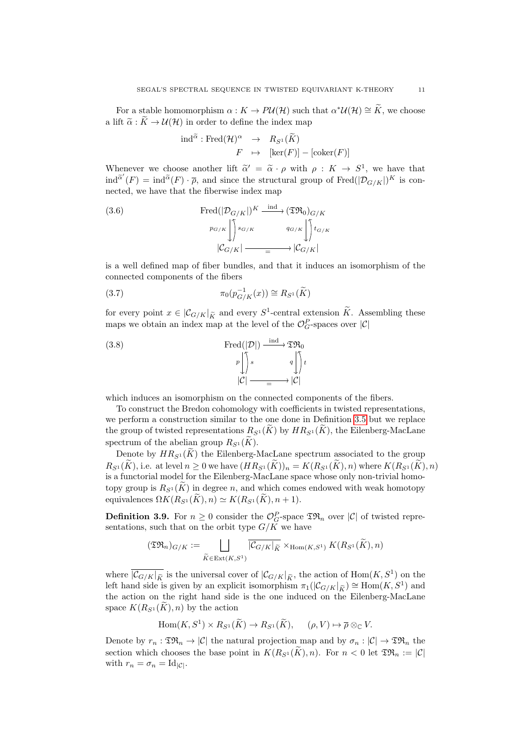For a stable homomorphism  $\alpha : K \to P\mathcal{U}(\mathcal{H})$  such that  $\alpha^*\mathcal{U}(\mathcal{H}) \cong \widetilde{K}$ , we choose a lift  $\tilde{\alpha}: \tilde{K} \to \mathcal{U}(\mathcal{H})$  in order to define the index map

$$
\text{ind}^{\widetilde{\alpha}} : \text{Fred}(\mathcal{H})^{\alpha} \rightarrow R_{S^1}(\widetilde{K})
$$

$$
F \rightarrow [\text{ker}(F)] - [\text{coker}(F)]
$$

Whenever we choose another lift  $\tilde{\alpha}' = \tilde{\alpha} \cdot \rho$  with  $\rho : K \to S^1$ , we have that  $\tilde{\alpha}'(E) = \inf_{\alpha} \tilde{\alpha}(E) = \sup_{\alpha} \tilde{\alpha}(E)$  $\text{ind}^{\widetilde{\alpha}'}(F) = \text{ind}^{\widetilde{\alpha}}(F) \cdot \overline{\rho}$ , and since the structural group of  $\text{Fred}(|\mathcal{D}_{G/K}|)^K$  is connected, we have that the fiberwise index map

<span id="page-10-0"></span>(3.6) 
$$
\operatorname{Fred}(|\mathcal{D}_{G/K}|)^K \xrightarrow{\operatorname{ind}} (\mathfrak{TR}_0)_{G/K}
$$

$$
p_{G/K} \downarrow \qquad q_{G/K} \downarrow \qquad q_{G/K}
$$

$$
|\mathcal{C}_{G/K}| \xrightarrow{q_{G/K}} |\mathcal{C}_{G/K}|
$$

is a well defined map of fiber bundles, and that it induces an isomorphism of the connected components of the fibers

<span id="page-10-2"></span>(3.7) 
$$
\pi_0(p_{G/K}^{-1}(x)) \cong R_{S^1}(\widetilde{K})
$$

for every point  $x \in |\mathcal{C}_{G/K}|_{\widetilde{K}}$  and every  $S^1$ -central extension  $\widetilde{K}$ . Assembling these maps we obtain an index map at the level of the  $\mathcal{O}_G^P$ -spaces over  $|\mathcal{C}|$ 

<span id="page-10-1"></span>(3.8) 
$$
\operatorname{Fred}(|\mathcal{D}|) \xrightarrow{\operatorname{ind}} \mathfrak{TR}_0
$$

$$
\downarrow^p \downarrow^p s \qquad \downarrow^q \downarrow^p t
$$

$$
|\mathcal{C}| \xrightarrow{\qquad \qquad} |\mathcal{C}|
$$

which induces an isomorphism on the connected components of the fibers.

To construct the Bredon cohomology with coefficients in twisted representations, we perform a construction similar to the one done in Definition [3.5](#page-9-0) but we replace the group of twisted representations  $R_{S^1}(K)$  by  $HR_{S^1}(K)$ , the Eilenberg-MacLane spectrum of the abelian group  $R_{S^1}(K)$ .

Denote by  $HR_{S^1}(\widetilde{K})$  the Eilenberg-MacLane spectrum associated to the group  $R_{S^1}(\widetilde{K})$ , i.e. at level  $n \geq 0$  we have  $(HR_{S^1}(\widetilde{K}))_n = K(R_{S^1}(\widetilde{K}), n)$  where  $K(R_{S^1}(\widetilde{K}), n)$ is a functorial model for the Eilenberg-MacLane space whose only non-trivial homotopy group is  $R_{S^1}(K)$  in degree n, and which comes endowed with weak homotopy equivalences  $\Omega K(R_{S^1}(K), n) \simeq K(R_{S^1}(K), n + 1).$ 

**Definition 3.9.** For  $n \geq 0$  consider the  $\mathcal{O}_G^P$ -space  $\mathfrak{TR}_n$  over  $|\mathcal{C}|$  of twisted representations, such that on the orbit type  $G/K$  we have

$$
(\mathfrak{TR}_n)_{G/K} := \bigsqcup_{\widetilde{K} \in \text{Ext}(K,S^1)} \overline{|C_{G/K}|_{\widetilde{K}}} \times_{\text{Hom}(K,S^1)} K(R_{S^1}(\widetilde{K}), n)
$$

where  $\overline{|C_{G/K}|_{\widetilde{K}}}$  is the universal cover of  $|C_{G/K}|_{\widetilde{K}}$ , the action of  $\text{Hom}(K, S^1)$  on the left hand side is given by an explicit isomorphism  $\pi_1(|C_{G/K}|_{\tilde{K}}) \cong \text{Hom}(K, S^1)$  and the estimate the wisht hand side is the energied so the Filephang MasLange the action on the right hand side is the one induced on the Eilenberg-MacLane space  $K(R_{S^1}(K), n)$  by the action

$$
\operatorname{Hom}(K, S^1) \times R_{S^1}(\widetilde{K}) \to R_{S^1}(\widetilde{K}), \quad (\rho, V) \mapsto \overline{\rho} \otimes_{\mathbb{C}} V.
$$

Denote by  $r_n : \mathfrak{TR}_n \to |\mathcal{C}|$  the natural projection map and by  $\sigma_n : |\mathcal{C}| \to \mathfrak{TR}_n$  the section which chooses the base point in  $K(R_{S_1}(\widetilde{K}), n)$ . For  $n < 0$  let  $\mathfrak{TR}_n := |\mathcal{C}|$ with  $r_n = \sigma_n = \mathrm{Id}_{|\mathcal{C}|}.$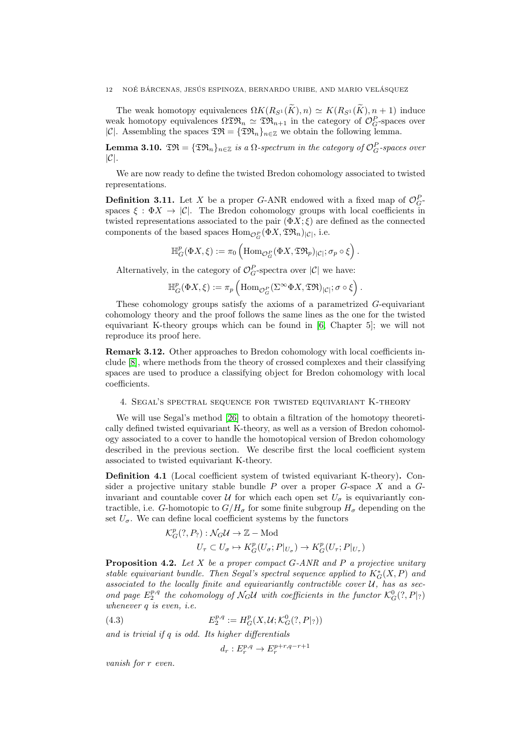The weak homotopy equivalences  $\Omega K(R_{S^1}(\widetilde{K}), n) \simeq K(R_{S^1}(\widetilde{K}), n + 1)$  induce weak homotopy equivalences  $\Omega \mathfrak{TR}_n \simeq \mathfrak{TR}_{n+1}$  in the category of  $\mathcal{O}_G^P$ -spaces over |C|. Assembling the spaces  $\mathfrak{TR} = {\{\mathfrak{TR}_n\}}_{n\in\mathbb{Z}}$  we obtain the following lemma.

**Lemma 3.10.**  $\mathfrak{TR} = {\{\mathfrak{TR}_n\}}_{n \in \mathbb{Z}}$  is a  $\Omega$ -spectrum in the category of  $\mathcal{O}_G^P$ -spaces over  $|C|$ .

We are now ready to define the twisted Bredon cohomology associated to twisted representations.

**Definition 3.11.** Let X be a proper G-ANR endowed with a fixed map of  $\mathcal{O}_G^P$ . spaces  $\xi : \Phi X \to |\mathcal{C}|$ . The Bredon cohomology groups with local coefficients in twisted representations associated to the pair  $(\Phi X; \xi)$  are defined as the connected components of the based spaces  $\mathrm{Hom}_{\mathcal{O}_G^P}(\Phi X, \mathfrak{TR}_n)_{|\mathcal{C}|}$ , i.e.

 $\mathbb{H}^p_G(\Phi X,\xi) := \pi_0 \left( {\rm Hom}_{{\mathcal{O}}_G^P}(\Phi X, {\mathfrak{TR}}_p)_{|{\mathcal{C}}|}; \sigma_p \circ \xi \right).$ 

Alternatively, in the category of  $\mathcal{O}_G^P$ -spectra over  $|\mathcal{C}|$  we have:

$$
\mathbb{H}^p_G(\Phi X,\xi):=\pi_p\left(\mathrm{Hom}_{\mathcal{O}_G^P}(\Sigma^\infty \Phi X, \mathfrak{TR})_{|\mathcal{C}|}; \sigma\circ\xi\right).
$$

These cohomology groups satisfy the axioms of a parametrized G-equivariant cohomology theory and the proof follows the same lines as the one for the twisted equivariant K-theory groups which can be found in [\[6,](#page-23-2) Chapter 5]; we will not reproduce its proof here.

Remark 3.12. Other approaches to Bredon cohomology with local coefficients include [\[8\]](#page-23-13), where methods from the theory of crossed complexes and their classifying spaces are used to produce a classifying object for Bredon cohomology with local coefficients.

## <span id="page-11-0"></span>4. Segal's spectral sequence for twisted equivariant K-theory

We will use Segal's method [\[26\]](#page-24-0) to obtain a filtration of the homotopy theoretically defined twisted equivariant K-theory, as well as a version of Bredon cohomology associated to a cover to handle the homotopical version of Bredon cohomology described in the previous section. We describe first the local coefficient system associated to twisted equivariant K-theory.

Definition 4.1 (Local coefficient system of twisted equivariant K-theory). Consider a projective unitary stable bundle  $P$  over a proper  $G$ -space  $X$  and a  $G$ invariant and countable cover U for which each open set  $U_{\sigma}$  is equivariantly contractible, i.e. G-homotopic to  $G/H_{\sigma}$  for some finite subgroup  $H_{\sigma}$  depending on the set  $U_{\sigma}$ . We can define local coefficient systems by the functors

$$
\mathcal{K}_G^p(?, P_?): \mathcal{N}_G \mathcal{U} \to \mathbb{Z} - \text{Mod}
$$
  

$$
U_\tau \subset U_\sigma \mapsto K_G^p(U_\sigma; P|_{U_\sigma}) \to K_G^p(U_\tau; P|_{U_\tau})
$$

**Proposition 4.2.** Let X be a proper compact  $G$ -ANR and P a projective unitary stable equivariant bundle. Then Segal's spectral sequence applied to  $K_G^*(X, P)$  and associated to the locally finite and equivariantly contractible cover  $\mathcal{U}$ , has as second page  $E_2^{p,q}$  the cohomology of  $\mathcal{N}_G\mathcal{U}$  with coefficients in the functor  $\mathcal{K}_G^0(?,P|_{?})$ whenever q is even, i.e.

(4.3) 
$$
E_2^{p,q} := H_G^p(X, \mathcal{U}; \mathcal{K}_G^0(?, P|_?))
$$

and is trivial if q is odd. Its higher differentials

 $d_r: E_r^{p,q} \to E_r^{p+r,q-r+1}$ 

vanish for r even.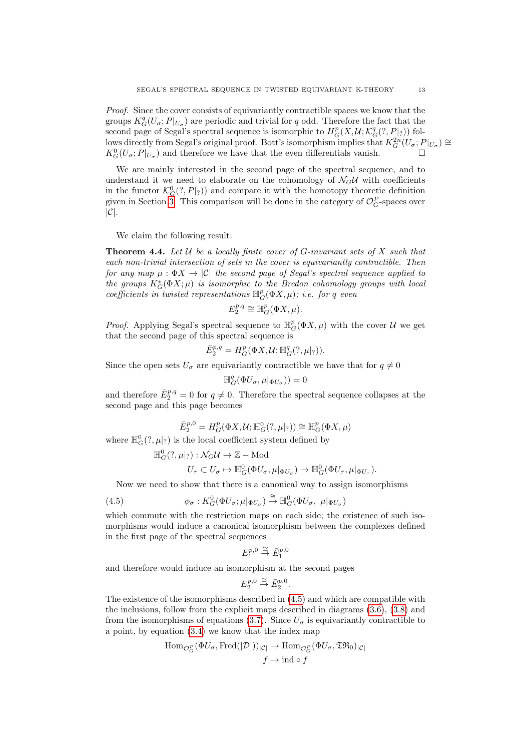Proof. Since the cover consists of equivariantly contractible spaces we know that the groups  $K_G^q(U_\sigma; P|_{U_\sigma})$  are periodic and trivial for q odd. Therefore the fact that the second page of Segal's spectral sequence is isomorphic to  $H_G^p(X, \mathcal{U}; \mathcal{K}_G^q(?, P|_?))$  follows directly from Segal's original proof. Bott's isomorphism implies that  $K_G^{2n}(U_\sigma;P|_{U_\sigma})\cong$  $K_G^0(U_\sigma; P|_{U_\sigma})$  and therefore we have that the even differentials vanish.

We are mainly interested in the second page of the spectral sequence, and to understand it we need to elaborate on the cohomology of  $\mathcal{N}_G U$  with coefficients in the functor  $\mathcal{K}_G^0(?, P|_?))$  and compare it with the homotopy theoretic definition given in Section [3.](#page-6-0) This comparison will be done in the category of  $\mathcal{O}_G^P$ -spaces over  $|C|$ .

We claim the following result:

<span id="page-12-1"></span>**Theorem 4.4.** Let  $U$  be a locally finite cover of G-invariant sets of X such that each non-trivial intersection of sets in the cover is equivariantly contractible. Then for any map  $\mu : \Phi X \to |\mathcal{C}|$  the second page of Segal's spectral sequence applied to the groups  $K_G^*(\Phi X;\mu)$  is isomorphic to the Bredon cohomology groups with local coefficients in twisted representations  $\mathbb{H}^p_G(\Phi X, \mu)$ ; i.e. for q even

$$
E_2^{p,q} \cong \mathbb{H}_G^p(\Phi X, \mu).
$$

*Proof.* Applying Segal's spectral sequence to  $\mathbb{H}^p_G(\Phi X, \mu)$  with the cover  $\mathcal U$  we get that the second page of this spectral sequence is

$$
\bar{E}_2^{p,q} = H^p_G(\Phi X, \mathcal{U}; \mathbb{H}^q_G(?, \mu|_?)).
$$

Since the open sets  $U_{\sigma}$  are equivariantly contractible we have that for  $q \neq 0$ 

$$
\mathbb{H}_{G}^{q}(\Phi U_{\sigma}, \mu|_{\Phi U_{\sigma}})) = 0
$$

and therefore  $\bar{E}_2^{p,q} = 0$  for  $q \neq 0$ . Therefore the spectral sequence collapses at the second page and this page becomes

$$
\bar{E}_{2}^{p,0}=H_{G}^{p}(\Phi X,\mathcal{U};\mathbb{H}_{G}^{0}(?,\mu|_{?}))\cong\mathbb{H}_{G}^{p}(\Phi X,\mu)
$$

where  $\mathbb{H}_{G}^{0}(?,\mu|_{?})$  is the local coefficient system defined by

$$
\mathbb{H}_G^0(?, \mu|_?): \mathcal{N}_G \mathcal{U} \to \mathbb{Z} - \text{Mod}
$$
  

$$
U_\tau \subset U_\sigma \mapsto \mathbb{H}_G^0(\Phi U_\sigma, \mu|_{\Phi U_\sigma}) \to \mathbb{H}_G^0(\Phi U_\tau, \mu|_{\Phi U_\tau}).
$$

Now we need to show that there is a canonical way to assign isomorphisms

<span id="page-12-0"></span>(4.5) 
$$
\phi_{\sigma}: K_G^0(\Phi U_{\sigma}; \mu|_{\Phi U_{\sigma}}) \stackrel{\cong}{\to} \mathbb{H}_G^0(\Phi U_{\sigma}, \mu|_{\Phi U_{\sigma}})
$$

which commute with the restriction maps on each side; the existence of such isomorphisms would induce a canonical isomorphism between the complexes defined in the first page of the spectral sequences

$$
E_1^{p,0} \stackrel{\cong}{\to} \bar{E}_1^{p,0}
$$

and therefore would induce an isomorphism at the second pages

$$
E_2^{p,0} \stackrel{\cong}{\rightarrow} \bar{E}_2^{p,0}.
$$

The existence of the isomorphisms described in [\(4.5\)](#page-12-0) and which are compatible with the inclusions, follow from the explicit maps described in diagrams [\(3.6\)](#page-10-0), [\(3.8\)](#page-10-1) and from the isomorphisms of equations [\(3.7\)](#page-10-2). Since  $U_{\sigma}$  is equivariantly contractible to a point, by equation [\(3.4\)](#page-9-1) we know that the index map

$$
\text{Hom}_{\mathcal{O}_G^P}(\Phi U_\sigma, \text{Fred}(|\mathcal{D}|))_{|\mathcal{C}|} \to \text{Hom}_{\mathcal{O}_G^P}(\Phi U_\sigma, \mathfrak{TR}_0)_{|\mathcal{C}|}
$$

$$
f \mapsto \text{ind} \circ f
$$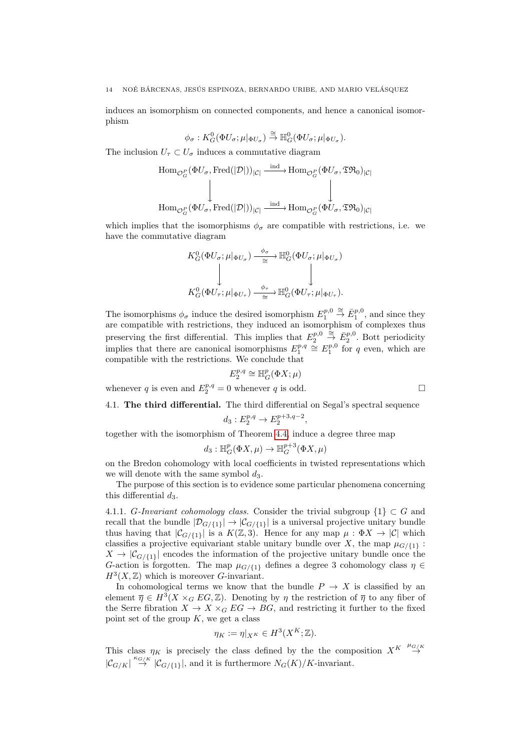induces an isomorphism on connected components, and hence a canonical isomorphism

$$
\phi_\sigma: K^0_G(\Phi U_\sigma;\mu|_{\Phi U_\sigma}) \stackrel{\cong}{\to} \mathbb{H}^0_G(\Phi U_\sigma;\mu|_{\Phi U_\sigma}).
$$

The inclusion  $U_{\tau} \subset U_{\sigma}$  induces a commutative diagram

$$
\text{Hom}_{\mathcal{O}_G^P}(\Phi U_\sigma, \text{Fred}(|\mathcal{D}|))_{|\mathcal{C}|} \xrightarrow{\text{ind}} \text{Hom}_{\mathcal{O}_G^P}(\Phi U_\sigma, \mathfrak{TR}_0)_{|\mathcal{C}|}
$$
  

$$
\downarrow \qquad \qquad \downarrow
$$
  

$$
\text{Hom}_{\mathcal{O}_G^P}(\Phi U_\sigma, \text{Fred}(|\mathcal{D}|))_{|\mathcal{C}|} \xrightarrow{\text{ind}} \text{Hom}_{\mathcal{O}_G^P}(\Phi U_\sigma, \mathfrak{TR}_0)_{|\mathcal{C}|}
$$

which implies that the isomorphisms  $\phi_{\sigma}$  are compatible with restrictions, i.e. we have the commutative diagram

$$
K_G^0(\Phi U_\sigma; \mu |_{\Phi U_\sigma}) \xrightarrow{\phi_\sigma} \mathbb{H}_G^0(\Phi U_\sigma; \mu |_{\Phi U_\sigma})
$$
  
\n
$$
\downarrow \qquad \qquad \downarrow
$$
  
\n
$$
K_G^0(\Phi U_\tau; \mu |_{\Phi U_\tau}) \xrightarrow{\phi_\tau} \mathbb{H}_G^0(\Phi U_\tau; \mu |_{\Phi U_\tau}).
$$

The isomorphisms  $\phi_{\sigma}$  induce the desired isomorphism  $E_1^{p,0} \stackrel{\cong}{\to} \bar{E}_1^{p,0}$ , and since they are compatible with restrictions, they induced an isomorphism of complexes thus preserving the first differential. This implies that  $E_2^{p,0} \stackrel{\simeq}{\to} \bar{E}_2^{p,0}$ . Bott periodicity implies that there are canonical isomorphisms  $E_1^{p,q} \cong E_1^{p,0}$  for q even, which are compatible with the restrictions. We conclude that

$$
E_2^{p,q} \cong \mathbb{H}^p_G(\Phi X; \mu)
$$

whenever q is even and  $E_2^{p,q} = 0$  whenever q is odd.

<span id="page-13-0"></span>4.1. The third differential. The third differential on Segal's spectral sequence  $d_3: E_2^{p,q} \to E_2^{p+3,q-2},$ 

together with the isomorphism of Theorem [4.4,](#page-12-1) induce a degree three map

$$
d_3: \mathbb{H}^p_G(\Phi X, \mu) \to \mathbb{H}^{p+3}_G(\Phi X, \mu)
$$

on the Bredon cohomology with local coefficients in twisted representations which we will denote with the same symbol  $d_3$ .

The purpose of this section is to evidence some particular phenomena concerning this differential  $d_3$ .

4.1.1. G-Invariant cohomology class. Consider the trivial subgroup  $\{1\} \subset G$  and recall that the bundle  $|\mathcal{D}_{G/\{1\}}| \to |\mathcal{C}_{G/\{1\}}|$  is a universal projective unitary bundle thus having that  $|\mathcal{C}_{G/\{1\}}|$  is a  $K(\mathbb{Z},3)$ . Hence for any map  $\mu : \Phi X \to |\mathcal{C}|$  which classifies a projective equivariant stable unitary bundle over X, the map  $\mu_{G/\{1\}}$ :  $X \to |\mathcal{C}_{G/\{1\}}|$  encodes the information of the projective unitary bundle once the G-action is forgotten. The map  $\mu_{G/\{1\}}$  defines a degree 3 cohomology class  $\eta \in$  $H^3(X,\mathbb{Z})$  which is moreover G-invariant.

In cohomological terms we know that the bundle  $P \to X$  is classified by an element  $\overline{\eta} \in H^3(X \times_G EG, \mathbb{Z})$ . Denoting by  $\eta$  the restriction of  $\overline{\eta}$  to any fiber of the Serre fibration  $X \to X \times_G EG \to BG$ , and restricting it further to the fixed point set of the group  $K$ , we get a class

$$
\eta_K := \eta|_{X^K} \in H^3(X^K; \mathbb{Z}).
$$

This class  $\eta_K$  is precisely the class defined by the the composition  $X^K \stackrel{\mu_{G/K}}{\to}$  $|\mathcal{C}_{G/K}| \stackrel{\kappa_{G/K}}{\to} |\mathcal{C}_{G/\{1\}}|$ , and it is furthermore  $N_G(K)/K$ -invariant.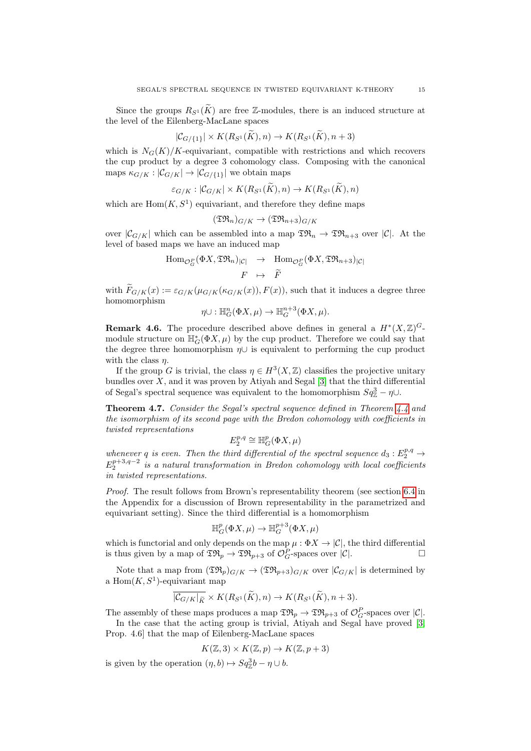Since the groups  $R_{S^1}(\tilde{K})$  are free Z-modules, there is an induced structure at the level of the Eilenberg-MacLane spaces

$$
|\mathcal{C}_{G/\{1\}}| \times K(R_{S^1}(\widetilde{K}), n) \to K(R_{S^1}(\widetilde{K}), n+3)
$$

which is  $N_G(K)/K$ -equivariant, compatible with restrictions and which recovers the cup product by a degree 3 cohomology class. Composing with the canonical maps  $\kappa_{G/K}: |\mathcal{C}_{G/K}| \to |\mathcal{C}_{G/\{1\}}|$  we obtain maps

$$
\varepsilon_{G/K}: |\mathcal{C}_{G/K}| \times K(R_{S^1}(K), n) \to K(R_{S^1}(K), n)
$$

which are  $Hom(K, S^1)$  equivariant, and therefore they define maps

$$
(\mathfrak{TR}_n)_{G/K} \to (\mathfrak{TR}_{n+3})_{G/K}
$$

over  $|\mathcal{C}_{G/K}|$  which can be assembled into a map  $\mathfrak{TR}_n \to \mathfrak{TR}_{n+3}$  over  $|\mathcal{C}|$ . At the level of based maps we have an induced map

$$
\text{Hom}_{\mathcal{O}_G^P}(\Phi X, \mathfrak{TR}_n)_{|\mathcal{C}|} \rightarrow \text{Hom}_{\mathcal{O}_G^P}(\Phi X, \mathfrak{TR}_{n+3})_{|\mathcal{C}|}
$$
  

$$
F \rightarrow \widetilde{F}
$$

with  $F_{G/K}(x) := \varepsilon_{G/K}(\mu_{G/K}(\kappa_{G/K}(x)), F(x))$ , such that it induces a degree three homomorphism

$$
\eta \cup : \mathbb{H}^n_G(\Phi X, \mu) \to \mathbb{H}^{n+3}_G(\Phi X, \mu).
$$

**Remark 4.6.** The procedure described above defines in general a  $H^*(X,\mathbb{Z})^G$ module structure on  $\mathbb{H}^*_{G}(\Phi X, \mu)$  by the cup product. Therefore we could say that the degree three homomorphism  $\eta \cup$  is equivalent to performing the cup product with the class  $\eta$ .

If the group G is trivial, the class  $\eta \in H^3(X, \mathbb{Z})$  classifies the projective unitary bundles over  $X$ , and it was proven by Atiyah and Segal  $[3]$  that the third differential of Segal's spectral sequence was equivalent to the homomorphism  $Sq^3_{\mathbb{Z}} - \eta \cup$ .

<span id="page-14-0"></span>Theorem 4.7. Consider the Segal's spectral sequence defined in Theorem [4.4](#page-12-1) and the isomorphism of its second page with the Bredon cohomology with coefficients in twisted representations

$$
E_2^{p,q}\cong \mathbb H^p_G(\Phi X, \mu)
$$

whenever q is even. Then the third differential of the spectral sequence  $d_3: E_2^{p,q} \rightarrow$  $E_2^{p+3,q-2}$  is a natural transformation in Bredon cohomology with local coefficients in twisted representations.

Proof. The result follows from Brown's representability theorem (see section [6.4](#page-23-8) in the Appendix for a discussion of Brown representability in the parametrized and equivariant setting). Since the third differential is a homomorphism

$$
\mathbb{H}^p_G(\Phi X, \mu) \to \mathbb{H}^{p+3}_G(\Phi X, \mu)
$$

which is functorial and only depends on the map  $\mu : \Phi X \to |\mathcal{C}|$ , the third differential is thus given by a map of  $\mathfrak{TR}_p \to \mathfrak{TR}_{p+3}$  of  $\mathcal{O}_G^P$ -spaces over  $|\mathcal{C}|$ .

Note that a map from  $(\mathfrak{TR}_p)_{G/K} \to (\mathfrak{TR}_{p+3})_{G/K}$  over  $|\mathcal{C}_{G/K}|$  is determined by a  $Hom(K, S^1)$ -equivariant map

$$
\overline{|C_{G/K}|_{\widetilde{K}}} \times K(R_{S^1}(\widetilde{K}), n) \to K(R_{S^1}(\widetilde{K}), n+3).
$$

The assembly of these maps produces a map  $\mathfrak{TR}_p \to \mathfrak{TR}_{p+3}$  of  $\mathcal{O}_G^P$ -spaces over  $|\mathcal{C}|$ . In the case that the acting group is trivial, Atiyah and Segal have proved [\[3,](#page-23-14) Prop. 4.6] that the map of Eilenberg-MacLane spaces

$$
K(\mathbb{Z},3) \times K(\mathbb{Z},p) \to K(\mathbb{Z},p+3)
$$

is given by the operation  $(\eta, b) \mapsto Sq_{\mathbb{Z}}^3 b - \eta \cup b$ .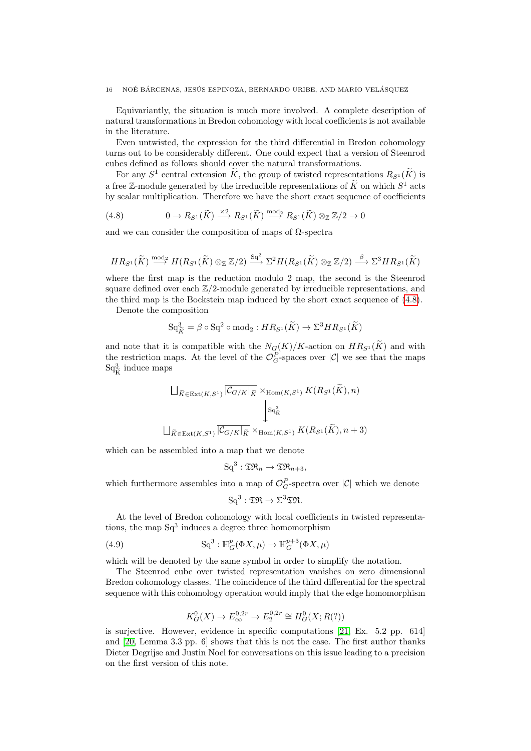Equivariantly, the situation is much more involved. A complete description of natural transformations in Bredon cohomology with local coefficients is not available in the literature.

Even untwisted, the expression for the third differential in Bredon cohomology turns out to be considerably different. One could expect that a version of Steenrod cubes defined as follows should cover the natural transformations.

For any  $S^1$  central extension  $\widetilde{K}$ , the group of twisted representations  $R_{S^1}(\widetilde{K})$  is a free Z-module generated by the irreducible representations of  $\widetilde{K}$  on which  $S^1$  acts by scalar multiplication. Therefore we have the short exact sequence of coefficients

<span id="page-15-0"></span>(4.8) 
$$
0 \to R_{S^1}(\widetilde{K}) \xrightarrow{\times 2} R_{S^1}(\widetilde{K}) \xrightarrow{\text{mod}_2} R_{S^1}(\widetilde{K}) \otimes_{\mathbb{Z}} \mathbb{Z}/2 \to 0
$$

and we can consider the composition of maps of  $\Omega$ -spectra

$$
HR_{S^1}(\widetilde{K}) \stackrel{\text{mod}_2}{\longrightarrow} H(R_{S^1}(\widetilde{K}) \otimes_{\mathbb{Z}} \mathbb{Z}/2) \stackrel{Sq^2}{\longrightarrow} \Sigma^2 H(R_{S^1}(\widetilde{K}) \otimes_{\mathbb{Z}} \mathbb{Z}/2) \stackrel{\beta}{\longrightarrow} \Sigma^3 HR_{S^1}(\widetilde{K})
$$

where the first map is the reduction modulo 2 map, the second is the Steenrod square defined over each  $\mathbb{Z}/2$ -module generated by irreducible representations, and the third map is the Bockstein map induced by the short exact sequence of [\(4.8\)](#page-15-0).

Denote the composition

$$
\mathrm{Sq}^3_{\widetilde{K}} = \beta \circ \mathrm{Sq}^2 \circ \mathrm{mod}_2 : HR_{S^1}(\widetilde{K}) \to \Sigma^3 HR_{S^1}(\widetilde{K})
$$

and note that it is compatible with the  $N_G(K)/K$ -action on  $HR_{S^1}(\widetilde{K})$  and with the restriction maps. At the level of the  $\mathcal{O}_G^P$ -spaces over  $|\mathcal{C}|$  we see that the maps  $\mathrm{Sq}_{\widetilde{K}}^{3}$  induce maps

$$
\bigcup_{\widetilde{K} \in \text{Ext}(K,S^1)} \overline{|C_{G/K}|_{\widetilde{K}}} \times_{\text{Hom}(K,S^1)} K(R_{S^1}(\widetilde{K}), n)
$$
  

$$
\downarrow s_{q_K^3}
$$
  

$$
\bigcup_{\widetilde{K} \in \text{Ext}(K,S^1)} \overline{|C_{G/K}|_{\widetilde{K}}} \times_{\text{Hom}(K,S^1)} K(R_{S^1}(\widetilde{K}), n+3)
$$

which can be assembled into a map that we denote

$$
\mathrm{Sq}^3:\mathfrak{TR}_n\to\mathfrak{TR}_{n+3},
$$

which furthermore assembles into a map of  $\mathcal{O}_G^P$ -spectra over  $|\mathcal{C}|$  which we denote

$$
\mathrm{Sq}^3:\mathfrak{TR}\to\Sigma^3\mathfrak{TR}.
$$

At the level of Bredon cohomology with local coefficients in twisted representations, the map  $Sq^3$  induces a degree three homomorphism

(4.9) 
$$
\mathrm{Sq}^3 : \mathbb{H}^p_G(\Phi X, \mu) \to \mathbb{H}^{p+3}_G(\Phi X, \mu)
$$

which will be denoted by the same symbol in order to simplify the notation.

The Steenrod cube over twisted representation vanishes on zero dimensional Bredon cohomology classes. The coincidence of the third differential for the spectral sequence with this cohomology operation would imply that the edge homomorphism

$$
K_G^0(X) \to E_{\infty}^{0,2r} \to E_2^{0,2r} \cong H_G^0(X; R(?))
$$

is surjective. However, evidence in specific computations [\[21,](#page-24-7) Ex. 5.2 pp. 614] and [\[20,](#page-24-8) Lemma 3.3 pp. 6] shows that this is not the case. The first author thanks Dieter Degrijse and Justin Noel for conversations on this issue leading to a precision on the first version of this note.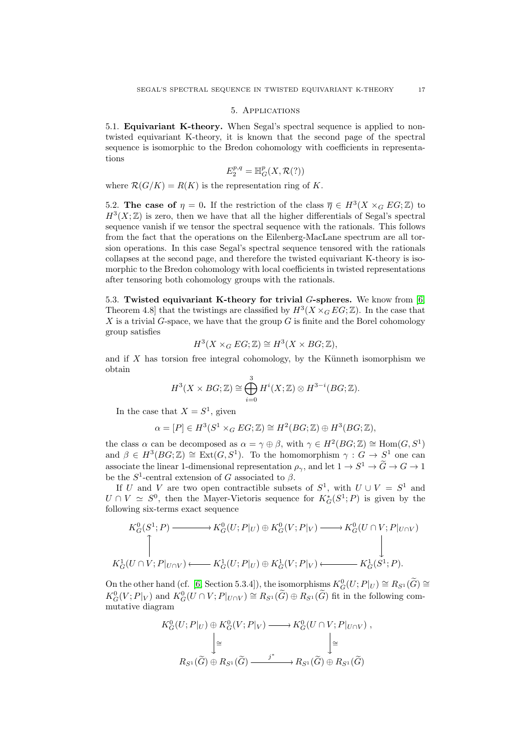## 5. Applications

<span id="page-16-1"></span><span id="page-16-0"></span>5.1. Equivariant K-theory. When Segal's spectral sequence is applied to nontwisted equivariant K-theory, it is known that the second page of the spectral sequence is isomorphic to the Bredon cohomology with coefficients in representations

$$
E_2^{p,q}=\mathbb H^p_G(X,\mathcal{R}(?) )
$$

where  $\mathcal{R}(G/K) = R(K)$  is the representation ring of K.

<span id="page-16-2"></span>5.2. The case of  $\eta = 0$ . If the restriction of the class  $\overline{\eta} \in H^3(X \times_G EG; \mathbb{Z})$  to  $H^3(X;\mathbb{Z})$  is zero, then we have that all the higher differentials of Segal's spectral sequence vanish if we tensor the spectral sequence with the rationals. This follows from the fact that the operations on the Eilenberg-MacLane spectrum are all torsion operations. In this case Segal's spectral sequence tensored with the rationals collapses at the second page, and therefore the twisted equivariant K-theory is isomorphic to the Bredon cohomology with local coefficients in twisted representations after tensoring both cohomology groups with the rationals.

<span id="page-16-3"></span>5.3. Twisted equivariant K-theory for trivial G-spheres. We know from [\[6,](#page-23-2) Theorem 4.8 that the twistings are classified by  $H^3(X \times_G EG; \mathbb{Z})$ . In the case that X is a trivial G-space, we have that the group  $G$  is finite and the Borel cohomology group satisfies

$$
H^3(X \times_G EG; \mathbb{Z}) \cong H^3(X \times BG; \mathbb{Z}),
$$

and if  $X$  has torsion free integral cohomology, by the Künneth isomorphism we obtain

$$
H^{3}(X \times BG; \mathbb{Z}) \cong \bigoplus_{i=0}^{3} H^{i}(X; \mathbb{Z}) \otimes H^{3-i}(BG; \mathbb{Z}).
$$

In the case that  $X = S^1$ , given

$$
\alpha = [P] \in H^3(S^1 \times_G EG; \mathbb{Z}) \cong H^2(BG; \mathbb{Z}) \oplus H^3(BG; \mathbb{Z}),
$$

the class  $\alpha$  can be decomposed as  $\alpha = \gamma \oplus \beta$ , with  $\gamma \in H^2(BG; \mathbb{Z}) \cong \text{Hom}(G, S^1)$ and  $\beta \in H^3(BG; \mathbb{Z}) \cong \text{Ext}(G, S^1)$ . To the homomorphism  $\gamma : G \to S^1$  one can associate the linear 1-dimensional representation  $\rho_{\gamma}$ , and let  $1 \to S^1 \to \tilde{G} \to G \to 1$ be the  $S^1$ -central extension of G associated to  $\beta$ .

If U and V are two open contractible subsets of  $S^1$ , with  $U \cup V = S^1$  and  $U \cap V \simeq S^0$ , then the Mayer-Vietoris sequence for  $K^*_G(S^1; P)$  is given by the following six-terms exact sequence

$$
K_G^0(S^1; P) \longrightarrow K_G^0(U; P|_U) \oplus K_G^0(V; P|_V) \longrightarrow K_G^0(U \cap V; P|_{U \cap V})
$$
  
\n
$$
\uparrow \qquad \qquad \downarrow
$$
  
\n
$$
K_G^1(U \cap V; P|_{U \cap V}) \longleftarrow K_G^1(U; P|_U) \oplus K_G^1(V; P|_V) \longleftarrow K_G^1(S^1; P).
$$

On the other hand (cf. [\[6,](#page-23-2) Section 5.3.4]), the isomorphisms  $K_G^0(U; P|_U) \cong R_{S^1}(\widetilde{G}) \cong$  $K_G^0(V;P|_V)$  and  $K_G^0(U \cap V;P|_{U \cap V}) \cong R_{S^1}(\widetilde{G}) \oplus R_{S^1}(\widetilde{G})$  fit in the following commutative diagram

$$
K_G^0(U;P|_U) \oplus K_G^0(V;P|_V) \longrightarrow K_G^0(U \cap V;P|_{U \cap V}),
$$
  
\n
$$
\downarrow \cong \qquad \qquad \downarrow \cong
$$
  
\n
$$
R_{S^1}(\widetilde{G}) \oplus R_{S^1}(\widetilde{G}) \xrightarrow{j^*} R_{S^1}(\widetilde{G}) \oplus R_{S^1}(\widetilde{G})
$$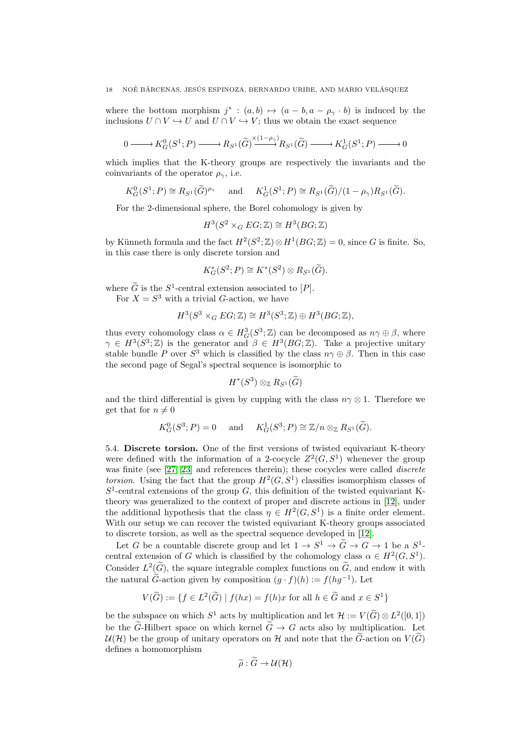where the bottom morphism  $j^*$ :  $(a,b) \mapsto (a-b, a-\rho_\gamma \cdot b)$  is induced by the inclusions  $U \cap V \hookrightarrow U$  and  $U \cap V \hookrightarrow V$ ; thus we obtain the exact sequence

$$
0 \longrightarrow K_G^0(S^1; P) \longrightarrow R_{S^1}(\widetilde{G}) \longrightarrow R_{S^1}(\widetilde{G}) \longrightarrow K_G^1(S^1; P) \longrightarrow 0
$$

which implies that the K-theory groups are respectively the invariants and the coinvariants of the operator  $\rho_{\gamma}$ , i.e.

$$
K_G^0(S^1;P) \cong R_{S^1}(\widetilde{G})^{\rho_\gamma}
$$
 and  $K_G^1(S^1;P) \cong R_{S^1}(\widetilde{G})/(1-\rho_\gamma)R_{S^1}(\widetilde{G}).$ 

For the 2-dimensional sphere, the Borel cohomology is given by

$$
H^3(S^2 \times_G EG; \mathbb{Z}) \cong H^3(BG; \mathbb{Z})
$$

by Künneth formula and the fact  $H^2(S^2; \mathbb{Z}) \otimes H^1(BG; \mathbb{Z}) = 0$ , since G is finite. So, in this case there is only discrete torsion and

$$
K_G^*(S^2;P) \cong K^*(S^2) \otimes R_{S^1}(\widetilde{G}).
$$

where  $\tilde{G}$  is the  $S^1$ -central extension associated to  $[P]$ .

For  $X = S^3$  with a trivial G-action, we have

$$
H^3(S^3 \times_G EG; \mathbb{Z}) \cong H^3(S^3; \mathbb{Z}) \oplus H^3(BG; \mathbb{Z}),
$$

thus every cohomology class  $\alpha \in H^3_G(S^3; \mathbb{Z})$  can be decomposed as  $n\gamma \oplus \beta$ , where  $\gamma \in H^3(S^3; \mathbb{Z})$  is the generator and  $\beta \in H^3(BG; \mathbb{Z})$ . Take a projective unitary stable bundle P over  $S^3$  which is classified by the class  $n\gamma \oplus \beta$ . Then in this case the second page of Segal's spectral sequence is isomorphic to

$$
H^*(S^3)\otimes_{\mathbb{Z}} R_{S^1}(\widetilde{G})
$$

and the third differential is given by cupping with the class  $n\gamma \otimes 1$ . Therefore we get that for  $n \neq 0$ 

$$
K_G^0(S^3; P) = 0
$$
 and  $K_G^1(S^3; P) \cong \mathbb{Z}/n \otimes_{\mathbb{Z}} R_{S^1}(\widetilde{G}).$ 

<span id="page-17-0"></span>5.4. Discrete torsion. One of the first versions of twisted equivariant K-theory were defined with the information of a 2-cocycle  $Z^2(G, S^1)$  whenever the group was finite (see [\[27,](#page-24-9) [23\]](#page-24-10) and references therein); these cocycles were called *discrete* torsion. Using the fact that the group  $H^2(G, S^1)$  classifies isomorphism classes of  $S<sup>1</sup>$ -central extensions of the group G, this definition of the twisted equivariant Ktheory was generalized to the context of proper and discrete actions in [\[12\]](#page-23-6), under the additional hypothesis that the class  $\eta \in H^2(G, S^1)$  is a finite order element. With our setup we can recover the twisted equivariant K-theory groups associated to discrete torsion, as well as the spectral sequence developed in [\[12\]](#page-23-6).

Let G be a countable discrete group and let  $1 \to S^1 \to \tilde{G} \to G \to 1$  be a  $S^1$ . central extension of G which is classified by the cohomology class  $\alpha \in H^2(G, S^1)$ . Consider  $L^2(\widetilde{G})$ , the square integrable complex functions on  $\widetilde{G}$ , and endow it with the natural  $\tilde{G}$ -action given by composition  $(g \cdot f)(h) := f(hg^{-1})$ . Let

$$
V(\widetilde{G}) := \{ f \in L^2(\widetilde{G}) \mid f(hx) = f(h)x \text{ for all } h \in \widetilde{G} \text{ and } x \in S^1 \}
$$

be the subspace on which  $S^1$  acts by multiplication and let  $\mathcal{H} := V(\widetilde{G}) \otimes L^2([0,1])$ be the  $\tilde{G}$ -Hilbert space on which kernel  $\tilde{G} \to G$  acts also by multiplication. Let  $\mathcal{U}(\mathcal{H})$  be the group of unitary operators on H and note that the  $\tilde{G}$ -action on  $V(\tilde{G})$ defines a homomorphism

$$
\widetilde{\rho}: G \to \mathcal{U}(\mathcal{H})
$$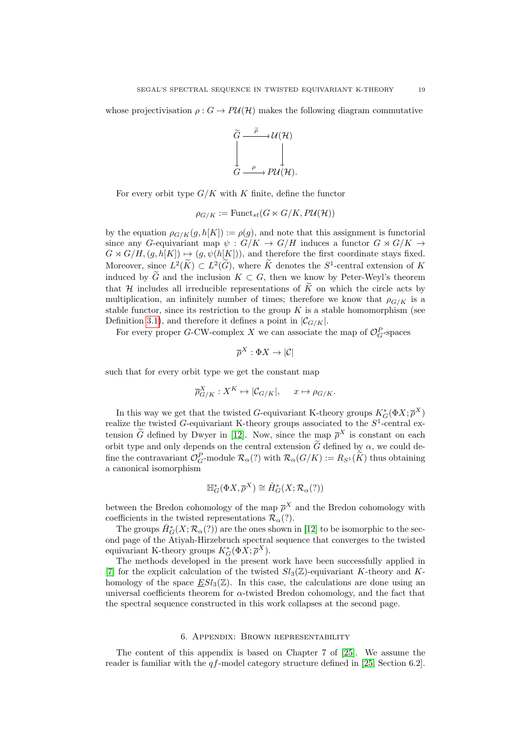whose projectivisation  $\rho: G \to PU(H)$  makes the following diagram commutative



For every orbit type  $G/K$  with K finite, define the functor

$$
\rho_{G/K} := \text{Funct}_{st}(G \ltimes G/K, P\mathcal{U}(\mathcal{H}))
$$

by the equation  $\rho_{G/K}(g, h[K]) := \rho(g)$ , and note that this assignment is functorial since any G-equivariant map  $\psi : G/K \to G/H$  induces a functor  $G \rtimes G/K \to$  $G \rtimes G/H$ ,  $(g, h[K]) \mapsto (g, \psi(h[K]))$ , and therefore the first coordinate stays fixed. Moreover, since  $L^2(\widetilde{K}) \subset L^2(\widetilde{G})$ , where  $\widetilde{K}$  denotes the  $S^1$ -central extension of  $K$ induced by  $\widetilde{G}$  and the inclusion  $K \subset G$ , then we know by Peter-Weyl's theorem that H includes all irreducible representations of  $\tilde{K}$  on which the circle acts by multiplication, an infinitely number of times; therefore we know that  $\rho_{G/K}$  is a stable functor, since its restriction to the group  $K$  is a stable homomorphism (see Definition [3.1\)](#page-6-2), and therefore it defines a point in  $|\mathcal{C}_{G/K}|$ .

For every proper G-CW-complex X we can associate the map of  $\mathcal{O}_G^P$ -spaces

$$
\overline{\rho}^X:\Phi X\to |\mathcal{C}|
$$

such that for every orbit type we get the constant map

$$
\overline{\rho}_{G/K}^X : X^K \mapsto |\mathcal{C}_{G/K}|, \quad x \mapsto \rho_{G/K}.
$$

In this way we get that the twisted G-equivariant K-theory groups  $K^*_G(\Phi X; \overline{\rho}^X)$ realize the twisted G-equivariant K-theory groups associated to the  $S^1$ -central extension  $\tilde{G}$  defined by Dwyer in [\[12\]](#page-23-6). Now, since the map  $\bar{\rho}^X$  is constant on each orbit type and only depends on the central extension  $\tilde{G}$  defined by  $\alpha$ , we could define the contravariant  $\mathcal{O}_G^P$ -module  $\mathcal{R}_\alpha(?)$  with  $\mathcal{R}_\alpha(G/K) := R_{S^1}(K)$  thus obtaining a canonical isomorphism

$$
\mathbb{H}^*_G(\Phi X, \overline{\rho}^X) \cong \check{H}^*_G(X; \mathcal{R}_\alpha(?) )
$$

between the Bredon cohomology of the map  $\overline{\rho}^X$  and the Bredon cohomology with coefficients in the twisted representations  $\mathcal{R}_{\alpha}(?)$ .

The groups  $\check{H}^*_{G}(X; \mathcal{R}_{\alpha}(?)$  are the ones shown in [\[12\]](#page-23-6) to be isomorphic to the second page of the Atiyah-Hirzebruch spectral sequence that converges to the twisted equivariant K-theory groups  $K_G^*(\Phi X; \overline{\rho}^X)$ .

The methods developed in the present work have been successfully applied in [\[7\]](#page-23-15) for the explicit calculation of the twisted  $Sl_3(\mathbb{Z})$ -equivariant K-theory and Khomology of the space  $ESl_3(\mathbb{Z})$ . In this case, the calculations are done using an universal coefficients theorem for  $\alpha$ -twisted Bredon cohomology, and the fact that the spectral sequence constructed in this work collapses at the second page.

## 6. Appendix: Brown representability

<span id="page-18-0"></span>The content of this appendix is based on Chapter 7 of [\[25\]](#page-24-11). We assume the reader is familiar with the  $qf$ -model category structure defined in [\[25,](#page-24-11) Section 6.2].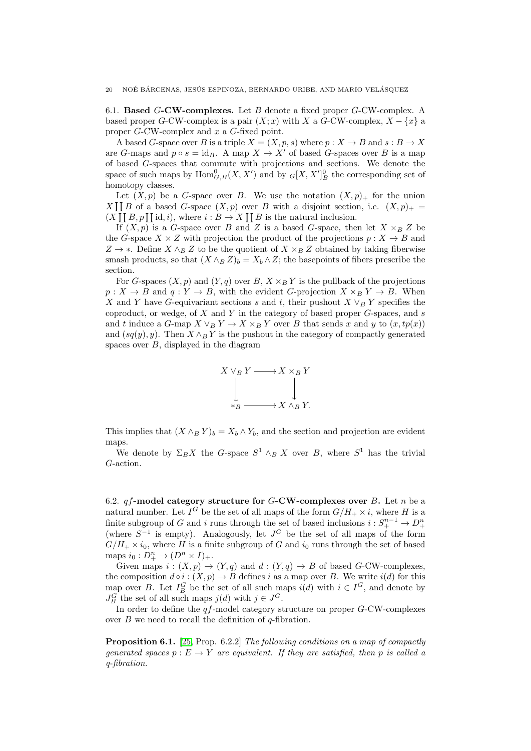<span id="page-19-0"></span>6.1. Based  $G$ -CW-complexes. Let B denote a fixed proper  $G$ -CW-complex. A based proper G-CW-complex is a pair  $(X; x)$  with X a G-CW-complex,  $X - \{x\}$  a proper G-CW-complex and x a G-fixed point.

A based G-space over B is a triple  $X = (X, p, s)$  where  $p : X \to B$  and  $s : B \to X$ are G-maps and  $p \circ s = \text{id}_B$ . A map  $X \to X'$  of based G-spaces over B is a map of based G-spaces that commute with projections and sections. We denote the space of such maps by  $\text{Hom}_{G,B}^0(X,X')$  and by  $_G[X,X']_B^0$  the corresponding set of homotopy classes.

Let  $(X, p)$  be a G-space over B. We use the notation  $(X, p)_+$  for the union  $X \coprod B$  of a based G-space  $(X, p)$  over B with a disjoint section, i.e.  $(X, p)_{+} =$  $(X \mid B, p \mid \text{id}, i)$ , where  $i : B \to X \mid B$  is the natural inclusion.

If  $(X, p)$  is a G-space over B and Z is a based G-space, then let  $X \times_B Z$  be the G-space  $X \times Z$  with projection the product of the projections  $p : X \to B$  and  $Z \rightarrow *$ . Define  $X \wedge_B Z$  to be the quotient of  $X \times_B Z$  obtained by taking fiberwise smash products, so that  $(X \wedge_B Z)_b = X_b \wedge Z$ ; the basepoints of fibers prescribe the section.

For G-spaces  $(X, p)$  and  $(Y, q)$  over B,  $X \times_B Y$  is the pullback of the projections  $p: X \to B$  and  $q: Y \to B$ , with the evident G-projection  $X \times_B Y \to B$ . When X and Y have G-equivariant sections s and t, their pushout  $X \vee_B Y$  specifies the coproduct, or wedge, of  $X$  and  $Y$  in the category of based proper  $G$ -spaces, and  $s$ and t induce a G-map  $X \vee_B Y \to X \times_B Y$  over B that sends x and y to  $(x, tp(x))$ and  $(sq(y), y)$ . Then  $X \wedge_B Y$  is the pushout in the category of compactly generated spaces over  $B$ , displayed in the diagram



This implies that  $(X \wedge_B Y)_b = X_b \wedge Y_b$ , and the section and projection are evident maps.

We denote by  $\Sigma_B X$  the G-space  $S^1 \wedge_B X$  over B, where  $S^1$  has the trivial G-action.

<span id="page-19-1"></span>6.2.  $qf$ -model category structure for  $G$ -CW-complexes over  $B$ . Let  $n$  be a natural number. Let  $I^G$  be the set of all maps of the form  $G/H_+ \times i$ , where H is a finite subgroup of G and i runs through the set of based inclusions  $i: S^{n-1}_+ \to D^n_+$ (where  $S^{-1}$  is empty). Analogously, let  $J^G$  be the set of all maps of the form  $G/H_+ \times i_0$ , where H is a finite subgroup of G and  $i_0$  runs through the set of based maps  $i_0: D^n_+ \to (D^n \times I)_+.$ 

Given maps  $i:(X,p)\to (Y,q)$  and  $d:(Y,q)\to B$  of based G-CW-complexes, the composition  $d \circ i : (X, p) \to B$  defines i as a map over B. We write  $i(d)$  for this map over B. Let  $I_B^G$  be the set of all such maps  $i(d)$  with  $i \in I^G$ , and denote by  $J_B^G$  the set of all such maps  $j(d)$  with  $j \in J^G$ .

In order to define the  $qf$ -model category structure on proper  $G$ -CW-complexes over  $B$  we need to recall the definition of  $q$ -fibration.

Proposition 6.1. [\[25,](#page-24-11) Prop. 6.2.2] The following conditions on a map of compactly generated spaces  $p : E \to Y$  are equivalent. If they are satisfied, then p is called a q-fibration.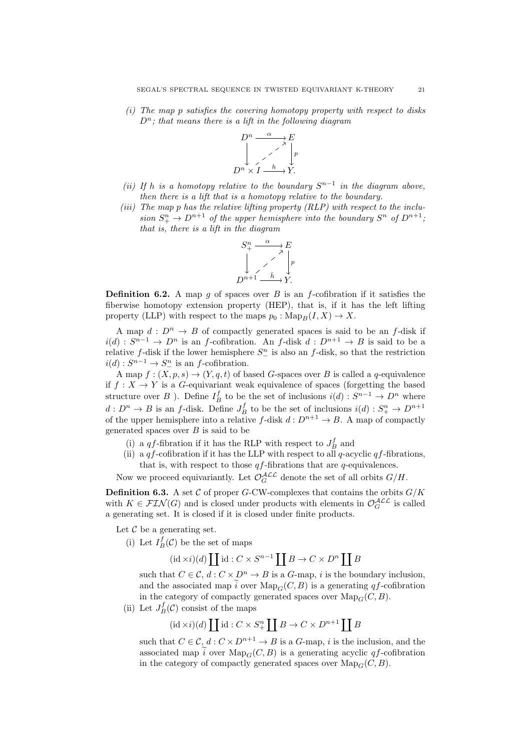$(i)$  The map p satisfies the covering homotopy property with respect to disks  $D^n$ ; that means there is a lift in the following diagram



- (ii) If h is a homotopy relative to the boundary  $S^{n-1}$  in the diagram above, then there is a lift that is a homotopy relative to the boundary.
- (iii) The map p has the relative lifting property (RLP) with respect to the inclusion  $S^{n}_{+} \to D^{n+1}$  of the upper hemisphere into the boundary  $S^{n}$  of  $D^{n+1}$ , that is, there is a lift in the diagram



**Definition 6.2.** A map g of spaces over B is an f-cofibration if it satisfies the fiberwise homotopy extension property (HEP), that is, if it has the left lifting property (LLP) with respect to the maps  $p_0 : \text{Map}_B(I, X) \to X$ .

A map  $d: D^n \to B$  of compactly generated spaces is said to be an f-disk if  $i(d): S^{n-1} \to D^n$  is an f-cofibration. An f-disk  $d: D^{n+1} \to B$  is said to be a relative f-disk if the lower hemisphere  $S_{-}^{n}$  is also an f-disk, so that the restriction  $i(d): S^{n-1} \to S^{n}_{-}$  is an f-cofibration.

A map  $f: (X, p, s) \to (Y, q, t)$  of based G-spaces over B is called a q-equivalence if  $f: X \to Y$  is a G-equivariant weak equivalence of spaces (forgetting the based structure over B ). Define  $I_B^f$  to be the set of inclusions  $i(d): S^{n-1} \to D^n$  where  $d: D^n \to B$  is an f-disk. Define  $J_B^f$  to be the set of inclusions  $i(d): S^n_+ \to D^{n+1}$ of the upper hemisphere into a relative f-disk  $d: D^{n+1} \to B$ . A map of compactly generated spaces over  $B$  is said to be

- (i) a  $qf\mbox{-fibration}$  if it has the RLP with respect to<br>  $J_B^f$  and
- (ii) a  $qf$ -cofibration if it has the LLP with respect to all q-acyclic  $qf$ -fibrations, that is, with respect to those  $qf$ -fibrations that are  $q$ -equivalences.

Now we proceed equivariantly. Let  $\mathcal{O}_G^{\mathcal{ALL}}$  denote the set of all orbits  $G/H$ .

**Definition 6.3.** A set  $\mathcal{C}$  of proper G-CW-complexes that contains the orbits  $G/K$ with  $K \in \mathcal{FIN}(G)$  and is closed under products with elements in  $\mathcal{O}_G^{\mathcal{ALL}}$  is called a generating set. It is closed if it is closed under finite products.

Let  $\mathcal C$  be a generating set.

(i) Let  $I_B^f(\mathcal{C})$  be the set of maps

$$
(\mathrm{id} \times i)(d) \coprod \mathrm{id} : C \times S^{n-1} \coprod B \to C \times D^n \coprod B
$$

such that  $C \in \mathcal{C}$ ,  $d: C \times D^n \to B$  is a G-map, i is the boundary inclusion. and the associated map  $\tilde{i}$  over  $\text{Map}_G(C, B)$  is a generating qf-cofibration in the category of compactly generated spaces over  $\text{Map}_G(C, B)$ .

(ii) Let  $J_B^f(\mathcal{C})$  consist of the maps

$$
(\mathrm{id} \times i)(d) \coprod \mathrm{id}: C \times S^n_+ \coprod B \to C \times D^{n+1} \coprod B
$$

such that  $C \in \mathcal{C}$ ,  $d : C \times D^{n+1} \to B$  is a  $G$ -map, i is the inclusion, and the associated map  $\tilde{i}$  over  $\text{Map}_C(C, B)$  is a generating acyclic qf-cofibration in the category of compactly generated spaces over  $\text{Map}_C(C, B)$ .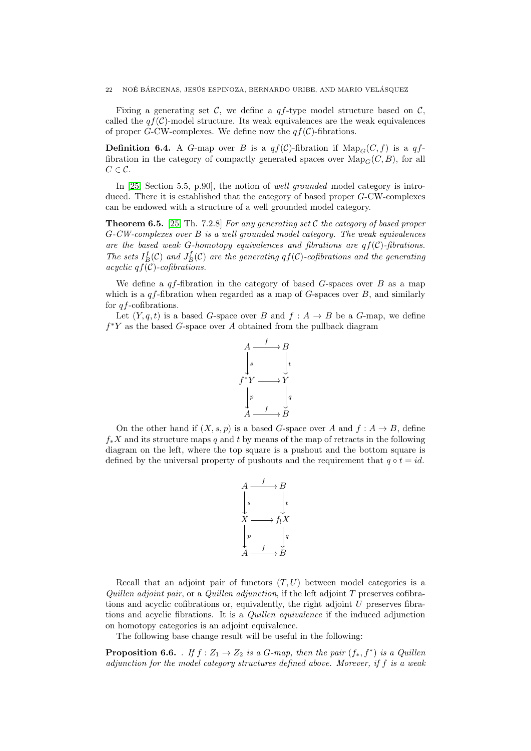Fixing a generating set C, we define a  $qf$ -type model structure based on C. called the  $qf(\mathcal{C})$ -model structure. Its weak equivalences are the weak equivalences of proper G-CW-complexes. We define now the  $qf(\mathcal{C})$ -fibrations.

**Definition 6.4.** A G-map over B is a  $qf(\mathcal{C})$ -fibration if  $\text{Map}_G(C, f)$  is a qffibration in the category of compactly generated spaces over  $\text{Map}_G(C, B)$ , for all  $C \in \mathcal{C}$ .

In [\[25,](#page-24-11) Section 5.5, p.90], the notion of well grounded model category is introduced. There it is established that the category of based proper G-CW-complexes can be endowed with a structure of a well grounded model category.

**Theorem 6.5.** [\[25,](#page-24-11) Th. 7.2.8] For any generating set C the category of based proper G-CW-complexes over B is a well grounded model category. The weak equivalences are the based weak G-homotopy equivalences and fibrations are  $qf(\mathcal{C})$ -fibrations. The sets  $I_B^f(\mathcal{C})$  and  $J_B^f(\mathcal{C})$  are the generating  $qf(\mathcal{C})$ -cofibrations and the generating acyclic  $q f(\mathcal{C})$ -cofibrations.

We define a  $qf$ -fibration in the category of based G-spaces over  $B$  as a map which is a  $qf$ -fibration when regarded as a map of  $G$ -spaces over  $B$ , and similarly for qf-cofibrations.

Let  $(Y, q, t)$  is a based G-space over B and  $f : A \rightarrow B$  be a G-map, we define  $f^*Y$  as the based G-space over A obtained from the pullback diagram



On the other hand if  $(X, s, p)$  is a based G-space over A and  $f : A \to B$ , define  $f_*X$  and its structure maps q and t by means of the map of retracts in the following diagram on the left, where the top square is a pushout and the bottom square is defined by the universal property of pushouts and the requirement that  $q \circ t = id$ .



Recall that an adjoint pair of functors  $(T, U)$  between model categories is a Quillen adjoint pair, or a Quillen adjunction, if the left adjoint  $T$  preserves cofibrations and acyclic cofibrations or, equivalently, the right adjoint U preserves fibrations and acyclic fibrations. It is a Quillen equivalence if the induced adjunction on homotopy categories is an adjoint equivalence.

The following base change result will be useful in the following:

<span id="page-21-0"></span>**Proposition 6.6.** . If  $f : Z_1 \to Z_2$  is a G-map, then the pair  $(f_*, f^*)$  is a Quillen adjunction for the model category structures defined above. Morever, if f is a weak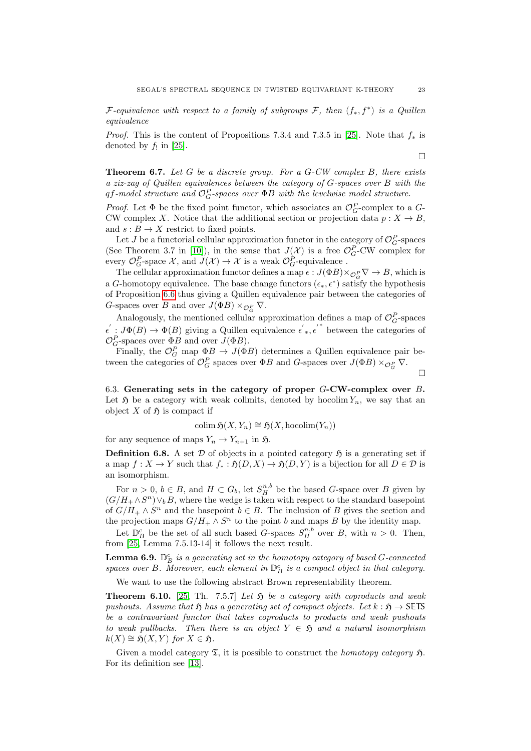F-equivalence with respect to a family of subgroups  $\mathcal{F}$ , then  $(f_*, f^*)$  is a Quillen equivalence

*Proof.* This is the content of Propositions 7.3.4 and 7.3.5 in [\[25\]](#page-24-11). Note that  $f_*$  is denoted by  $f_!$  in [\[25\]](#page-24-11).

**Theorem 6.7.** Let G be a discrete group. For a  $G$ -CW complex B, there exists a ziz-zag of Quillen equivalences between the category of G-spaces over B with the  $qf$ -model structure and  $\mathcal{O}_G^P$ -spaces over  $\Phi B$  with the levelwise model structure.

*Proof.* Let  $\Phi$  be the fixed point functor, which associates an  $\mathcal{O}_G^P$ -complex to a  $G$ -CW complex X. Notice that the additional section or projection data  $p: X \to B$ , and  $s : B \to X$  restrict to fixed points.

Let J be a functorial cellular approximation functor in the category of  $\mathcal{O}_G^P$ -spaces (See Theorem 3.7 in [\[10\]](#page-23-7)), in the sense that  $J(\mathcal{X})$  is a free  $\mathcal{O}_G^P$ -CW complex for every  $\mathcal{O}_G^P$ -space X, and  $J(\mathcal{X}) \to \mathcal{X}$  is a weak  $\mathcal{O}_G^P$ -equivalence.

The cellular approximation functor defines a map  $\epsilon: J(\Phi B) \times_{\mathcal{O}_G^P} \nabla \to B$ , which is a G-homotopy equivalence. The base change functors  $(\epsilon_*, \epsilon^*)$  satisfy the hypothesis of Proposition [6.6](#page-21-0) thus giving a Quillen equivalence pair between the categories of G-spaces over B and over  $J(\Phi B) \times_{\mathcal{O}_G^P} \nabla$ .

Analogously, the mentioned cellular approximation defines a map of  $\mathcal{O}_G^P$ -spaces  $\epsilon': J\Phi(B) \to \Phi(B)$  giving a Quillen equivalence  $\epsilon', \epsilon'$  between the categories of  $\mathcal{O}_G^P$ -spaces over  $\Phi_B^B$  and over  $J(\Phi B)$ .

Finally, the  $\mathcal{O}_G^P$  map  $\Phi_B \to J(\Phi_B)$  determines a Quillen equivalence pair between the categories of  $\mathcal{O}_G^P$  spaces over  $\Phi B$  and G-spaces over  $J(\Phi B) \times_{\mathcal{O}_G^P} \nabla$ .

 $\Box$ 

<span id="page-22-0"></span>6.3. Generating sets in the category of proper G-CW-complex over B. Let  $\mathfrak H$  be a category with weak colimits, denoted by hocolim  $Y_n$ , we say that an object X of  $\mathfrak H$  is compact if

$$
\operatorname{colim} \mathfrak{H}(X, Y_n) \cong \mathfrak{H}(X, \operatorname{hocolim}(Y_n))
$$

for any sequence of maps  $Y_n \to Y_{n+1}$  in  $\mathfrak{H}$ .

**Definition 6.8.** A set  $D$  of objects in a pointed category  $\mathfrak{H}$  is a generating set if a map  $f: X \to Y$  such that  $f_* : \mathfrak{H}(D, X) \to \mathfrak{H}(D, Y)$  is a bijection for all  $D \in \mathcal{D}$  is an isomorphism.

For  $n > 0$ ,  $b \in B$ , and  $H \subset G_b$ , let  $S_H^{n,b}$  be the based G-space over B given by  $(G/H_+ \wedge S^n) \vee_b B$ , where the wedge is taken with respect to the standard basepoint of  $G/H_+ \wedge S^n$  and the basepoint  $b \in B$ . The inclusion of B gives the section and the projection maps  $G/H_+ \wedge S^n$  to the point b and maps B by the identity map.

Let  $\mathbb{D}_{B}^{c}$  be the set of all such based *G*-spaces  $S_{H}^{n,b}$  over *B*, with  $n > 0$ . Then, from [\[25,](#page-24-11) Lemma 7.5.13-14] it follows the next result.

**Lemma 6.9.**  $\mathbb{D}^c_B$  is a generating set in the homotopy category of based G-connected spaces over B. Moreover, each element in  $\mathbb{D}_{B}^{c}$  is a compact object in that category.

We want to use the following abstract Brown representability theorem.

<span id="page-22-1"></span>**Theorem 6.10.** [\[25,](#page-24-11) Th. 7.5.7] Let  $\mathfrak{H}$  be a category with coproducts and weak pushouts. Assume that  $\mathfrak{H}$  has a generating set of compact objects. Let  $k : \mathfrak{H} \to \mathsf{SETS}$ be a contravariant functor that takes coproducts to products and weak pushouts to weak pullbacks. Then there is an object  $Y \in \mathfrak{H}$  and a natural isomorphism  $k(X) \cong \mathfrak{H}(X, Y)$  for  $X \in \mathfrak{H}$ .

Given a model category  $\mathfrak{T}$ , it is possible to construct the *homotopy category*  $\mathfrak{H}$ . For its definition see [\[13\]](#page-23-16).

 $\Box$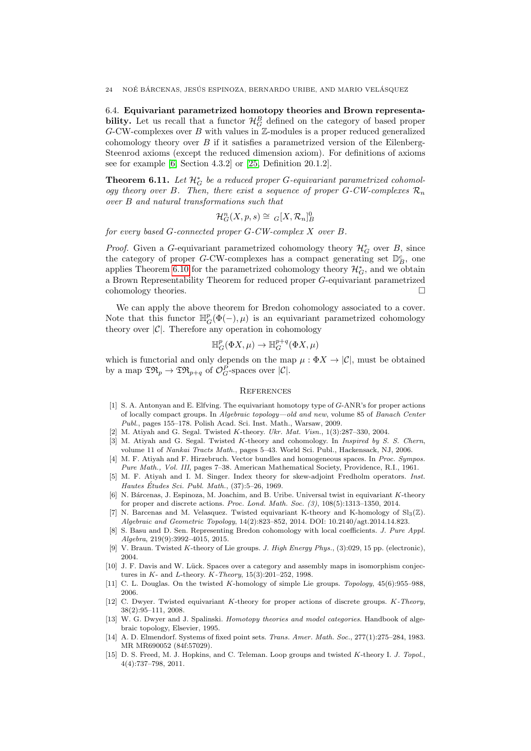<span id="page-23-8"></span>6.4. Equivariant parametrized homotopy theories and Brown representability. Let us recall that a functor  $\mathcal{H}_G^B$  defined on the category of based proper  $G$ -CW-complexes over  $B$  with values in  $\mathbb{Z}$ -modules is a proper reduced generalized cohomology theory over  $B$  if it satisfies a parametrized version of the Eilenberg-Steenrod axioms (except the reduced dimension axiom). For definitions of axioms see for example [\[6,](#page-23-2) Section 4.3.2] or [\[25,](#page-24-11) Definition 20.1.2].

**Theorem 6.11.** Let  $\mathcal{H}^*_{G}$  be a reduced proper G-equivariant parametrized cohomology theory over B. Then, there exist a sequence of proper G-CW-complexes  $\mathcal{R}_n$ over B and natural transformations such that

$$
\mathcal{H}^n_G(X, p, s) \cong {}_G[X, \mathcal{R}_n]^0_B
$$

for every based G-connected proper G-CW-complex X over B.

*Proof.* Given a G-equivariant parametrized cohomology theory  $\mathcal{H}^*_G$  over B, since the category of proper G-CW-complexes has a compact generating set  $\mathbb{D}_{B}^{c}$ , one applies Theorem [6.10](#page-22-1) for the parametrized cohomology theory  $\mathcal{H}_G^*$ , and we obtain a Brown Representability Theorem for reduced proper G-equivariant parametrized cohomology theories.

We can apply the above theorem for Bredon cohomology associated to a cover. Note that this functor  $\mathbb{H}^p_G(\Phi(-), \mu)$  is an equivariant parametrized cohomology theory over  $|\mathcal{C}|$ . Therefore any operation in cohomology

$$
\mathbb{H}^p_G(\Phi X, \mu) \to \mathbb{H}^{p+q}_G(\Phi X, \mu)
$$

which is functorial and only depends on the map  $\mu : \Phi X \to |\mathcal{C}|$ , must be obtained by a map  $\mathfrak{TR}_p \to \mathfrak{TR}_{p+q}$  of  $\mathcal{O}_G^P$ -spaces over  $|\mathcal{C}|$ .

## <span id="page-23-9"></span>**REFERENCES**

- <span id="page-23-10"></span>[1] S. A. Antonyan and E. Elfving. The equivariant homotopy type of G-ANR's for proper actions of locally compact groups. In Algebraic topology—old and new, volume 85 of Banach Center Publ., pages 155–178. Polish Acad. Sci. Inst. Math., Warsaw, 2009.
- <span id="page-23-1"></span>[2] M. Atiyah and G. Segal. Twisted K-theory. Ukr. Mat. Visn., 1(3):287-330, 2004.
- <span id="page-23-14"></span>[3] M. Atiyah and G. Segal. Twisted K-theory and cohomology. In Inspired by S. S. Chern, volume 11 of Nankai Tracts Math., pages 5–43. World Sci. Publ., Hackensack, NJ, 2006.
- <span id="page-23-0"></span>[4] M. F. Atiyah and F. Hirzebruch. Vector bundles and homogeneous spaces. In Proc. Sympos. Pure Math., Vol. III, pages 7–38. American Mathematical Society, Providence, R.I., 1961.
- <span id="page-23-12"></span>[5] M. F. Atiyah and I. M. Singer. Index theory for skew-adjoint Fredholm operators. Inst. Hautes Études Sci. Publ. Math.,  $(37):5-26$ , 1969.
- <span id="page-23-2"></span>N. Bárcenas, J. Espinoza, M. Joachim, and B. Uribe. Universal twist in equivariant K-theory for proper and discrete actions. Proc. Lond. Math. Soc. (3), 108(5):1313–1350, 2014.
- <span id="page-23-15"></span>N. Barcenas and M. Velasquez. Twisted equivariant K-theory and K-homology of  $Sl<sub>3</sub>(\mathbb{Z})$ . Algebraic and Geometric Topology, 14(2):823–852, 2014. DOI: 10.2140/agt.2014.14.823.
- <span id="page-23-13"></span>[8] S. Basu and D. Sen. Representing Bredon cohomology with local coefficients. J. Pure Appl. Algebra, 219(9):3992–4015, 2015.
- <span id="page-23-3"></span>[9] V. Braun. Twisted K-theory of Lie groups. J. High Energy Phys., (3):029, 15 pp. (electronic). 2004.
- <span id="page-23-7"></span>[10] J. F. Davis and W. Lück. Spaces over a category and assembly maps in isomorphism conjectures in  $K$ - and  $L$ -theory.  $K$ -Theory, 15(3):201–252, 1998.
- <span id="page-23-4"></span>[11] C. L. Douglas. On the twisted K-homology of simple Lie groups. *Topology*, 45(6):955–988. 2006.
- <span id="page-23-6"></span>[12] C. Dwyer. Twisted equivariant K-theory for proper actions of discrete groups. K-Theory, 38(2):95–111, 2008.
- <span id="page-23-16"></span>[13] W. G. Dwyer and J. Spalinski. Homotopy theories and model categories. Handbook of algebraic topology, Elsevier, 1995.
- <span id="page-23-11"></span>[14] A. D. Elmendorf. Systems of fixed point sets. Trans. Amer. Math. Soc., 277(1):275–284, 1983. MR MR690052 (84f:57029).
- <span id="page-23-5"></span>[15] D. S. Freed, M. J. Hopkins, and C. Teleman. Loop groups and twisted K-theory I. J. Topol., 4(4):737–798, 2011.